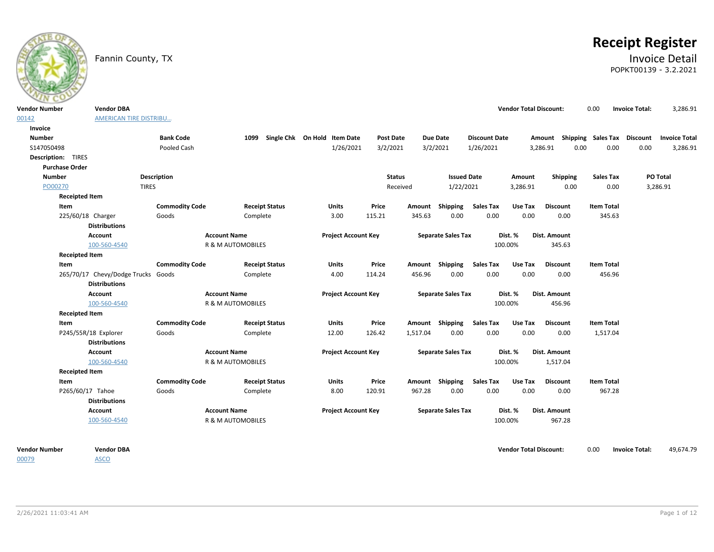

# **Receipt Register**

## Fannin County, TX **Invoice Detail** POPKT00139 - 3.2.2021

| <b>Vendor Number</b>      | <b>Vendor DBA</b>                  |                       |                                   |                                   |                  |          |                           |                          | <b>Vendor Total Discount:</b> |                                                  | 0.00                        | <b>Invoice Total:</b> | 3,286.91  |
|---------------------------|------------------------------------|-----------------------|-----------------------------------|-----------------------------------|------------------|----------|---------------------------|--------------------------|-------------------------------|--------------------------------------------------|-----------------------------|-----------------------|-----------|
| 00142                     | <b>AMERICAN TIRE DISTRIBU</b>      |                       |                                   |                                   |                  |          |                           |                          |                               |                                                  |                             |                       |           |
| Invoice                   |                                    |                       |                                   |                                   |                  |          |                           |                          |                               |                                                  |                             |                       |           |
| <b>Number</b>             |                                    | <b>Bank Code</b>      |                                   | 1099 Single Chk On Hold Item Date | <b>Post Date</b> |          | <b>Due Date</b>           | <b>Discount Date</b>     |                               | Amount Shipping Sales Tax Discount Invoice Total |                             |                       |           |
| S147050498                |                                    | Pooled Cash           |                                   | 1/26/2021                         | 3/2/2021         |          | 3/2/2021                  | 1/26/2021                |                               | 0.00<br>3,286.91                                 | 0.00                        | 0.00                  | 3,286.91  |
| <b>Description: TIRES</b> |                                    |                       |                                   |                                   |                  |          |                           |                          |                               |                                                  |                             |                       |           |
| <b>Purchase Order</b>     |                                    |                       |                                   |                                   |                  |          |                           |                          |                               |                                                  |                             |                       |           |
| <b>Number</b>             |                                    | <b>Description</b>    |                                   |                                   | <b>Status</b>    |          | <b>Issued Date</b>        |                          | Amount                        | <b>Shipping</b>                                  | <b>Sales Tax</b>            |                       | PO Total  |
| PO00270                   |                                    | <b>TIRES</b>          |                                   |                                   | Received         |          | 1/22/2021                 |                          | 3,286.91                      | 0.00                                             | 0.00                        |                       | 3,286.91  |
|                           | <b>Receipted Item</b>              |                       |                                   |                                   |                  |          |                           |                          |                               |                                                  |                             |                       |           |
| Item                      |                                    | <b>Commodity Code</b> | <b>Receipt Status</b>             | Units                             | Price            |          | Amount Shipping           | <b>Sales Tax</b>         | Use Tax                       | <b>Discount</b>                                  | <b>Item Total</b>           |                       |           |
|                           | 225/60/18 Charger                  | Goods                 | Complete                          | 3.00                              | 115.21           | 345.63   | 0.00                      | 0.00                     | 0.00                          | 0.00                                             | 345.63                      |                       |           |
|                           | <b>Distributions</b>               |                       |                                   |                                   |                  |          |                           |                          |                               |                                                  |                             |                       |           |
|                           | Account                            |                       | <b>Account Name</b>               | <b>Project Account Key</b>        |                  |          | <b>Separate Sales Tax</b> |                          | Dist. %                       | Dist. Amount                                     |                             |                       |           |
|                           | 100-560-4540                       |                       | R & M AUTOMOBILES                 |                                   |                  |          |                           |                          | 100.00%                       | 345.63                                           |                             |                       |           |
|                           | <b>Receipted Item</b>              |                       |                                   |                                   |                  |          |                           |                          |                               |                                                  |                             |                       |           |
| Item                      | 265/70/17 Chevy/Dodge Trucks Goods | <b>Commodity Code</b> | <b>Receipt Status</b><br>Complete | <b>Units</b><br>4.00              | Price<br>114.24  | 456.96   | Amount Shipping<br>0.00   | <b>Sales Tax</b><br>0.00 | Use Tax<br>0.00               | <b>Discount</b><br>0.00                          | <b>Item Total</b><br>456.96 |                       |           |
|                           | <b>Distributions</b>               |                       |                                   |                                   |                  |          |                           |                          |                               |                                                  |                             |                       |           |
|                           | <b>Account</b>                     |                       | <b>Account Name</b>               | <b>Project Account Key</b>        |                  |          | <b>Separate Sales Tax</b> |                          | Dist. %                       | Dist. Amount                                     |                             |                       |           |
|                           | 100-560-4540                       |                       | R & M AUTOMOBILES                 |                                   |                  |          |                           |                          | 100.00%                       | 456.96                                           |                             |                       |           |
|                           | <b>Receipted Item</b>              |                       |                                   |                                   |                  |          |                           |                          |                               |                                                  |                             |                       |           |
| Item                      |                                    | <b>Commodity Code</b> | <b>Receipt Status</b>             | <b>Units</b>                      | Price            |          | Amount Shipping           | <b>Sales Tax</b>         | Use Tax                       | <b>Discount</b>                                  | <b>Item Total</b>           |                       |           |
|                           | P245/55R/18 Explorer               | Goods                 | Complete                          | 12.00                             | 126.42           | 1,517.04 | 0.00                      | 0.00                     | 0.00                          | 0.00                                             | 1,517.04                    |                       |           |
|                           | <b>Distributions</b>               |                       |                                   |                                   |                  |          |                           |                          |                               |                                                  |                             |                       |           |
|                           | Account                            |                       | <b>Account Name</b>               | <b>Project Account Key</b>        |                  |          | <b>Separate Sales Tax</b> |                          | Dist. %                       | Dist. Amount                                     |                             |                       |           |
|                           | 100-560-4540                       |                       | R & M AUTOMOBILES                 |                                   |                  |          |                           |                          | 100.00%                       | 1,517.04                                         |                             |                       |           |
|                           | <b>Receipted Item</b>              |                       |                                   |                                   |                  |          |                           |                          |                               |                                                  |                             |                       |           |
| Item                      |                                    | <b>Commodity Code</b> | <b>Receipt Status</b>             | <b>Units</b>                      | Price            |          | Amount Shipping           | <b>Sales Tax</b>         | Use Tax                       | <b>Discount</b>                                  | <b>Item Total</b>           |                       |           |
|                           | P265/60/17 Tahoe                   | Goods                 | Complete                          | 8.00                              | 120.91           | 967.28   | 0.00                      | 0.00                     | 0.00                          | 0.00                                             | 967.28                      |                       |           |
|                           | <b>Distributions</b>               |                       |                                   |                                   |                  |          |                           |                          |                               |                                                  |                             |                       |           |
|                           | Account                            |                       | <b>Account Name</b>               | <b>Project Account Key</b>        |                  |          | <b>Separate Sales Tax</b> |                          | Dist. %                       | Dist. Amount                                     |                             |                       |           |
|                           | 100-560-4540                       |                       | R & M AUTOMOBILES                 |                                   |                  |          |                           |                          | 100.00%                       | 967.28                                           |                             |                       |           |
| <b>Vendor Number</b>      | <b>Vendor DBA</b>                  |                       |                                   |                                   |                  |          |                           |                          | <b>Vendor Total Discount:</b> |                                                  | 0.00                        | <b>Invoice Total:</b> | 49,674.79 |
| 00079                     | <b>ASCO</b>                        |                       |                                   |                                   |                  |          |                           |                          |                               |                                                  |                             |                       |           |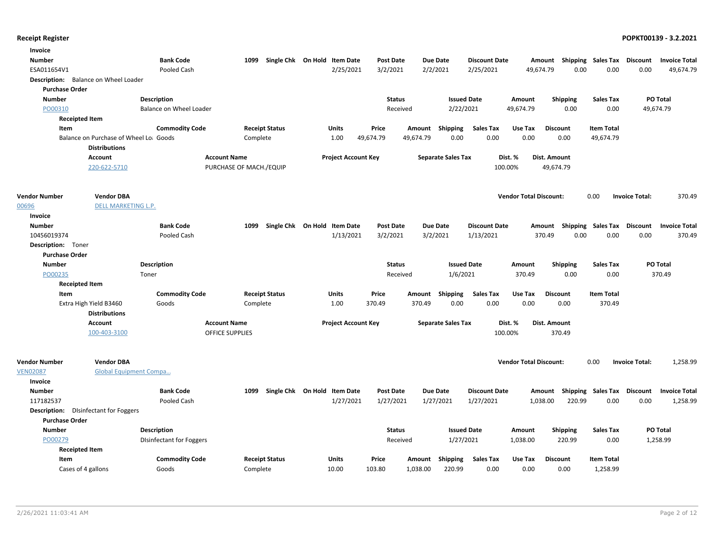| Invoice               |                                              |                                 |                         |                                   |                            |                  |           |                           |                      |                               |                                    |                             |                       |                      |
|-----------------------|----------------------------------------------|---------------------------------|-------------------------|-----------------------------------|----------------------------|------------------|-----------|---------------------------|----------------------|-------------------------------|------------------------------------|-----------------------------|-----------------------|----------------------|
| Number                |                                              | <b>Bank Code</b>                |                         | 1099 Single Chk On Hold Item Date |                            | <b>Post Date</b> |           | <b>Due Date</b>           | <b>Discount Date</b> |                               | Amount Shipping                    | <b>Sales Tax Discount</b>   |                       | <b>Invoice Total</b> |
| ESA011654V1           |                                              | Pooled Cash                     |                         |                                   | 2/25/2021                  | 3/2/2021         |           | 2/2/2021                  | 2/25/2021            | 49,674.79                     | 0.00                               | 0.00                        | 0.00                  | 49,674.79            |
|                       | Description: Balance on Wheel Loader         |                                 |                         |                                   |                            |                  |           |                           |                      |                               |                                    |                             |                       |                      |
| <b>Purchase Order</b> |                                              |                                 |                         |                                   |                            |                  |           |                           |                      |                               |                                    |                             |                       |                      |
| <b>Number</b>         |                                              | Description                     |                         |                                   |                            | <b>Status</b>    |           | <b>Issued Date</b>        |                      | Amount                        | <b>Shipping</b>                    | <b>Sales Tax</b>            |                       | PO Total             |
| PO00310               |                                              | Balance on Wheel Loader         |                         |                                   |                            | Received         |           | 2/22/2021                 |                      | 49,674.79                     | 0.00                               | 0.00                        |                       | 49,674.79            |
|                       | <b>Receipted Item</b>                        |                                 |                         |                                   |                            |                  |           |                           |                      |                               |                                    |                             |                       |                      |
| Item                  |                                              | <b>Commodity Code</b>           |                         | <b>Receipt Status</b>             | <b>Units</b>               | Price            | Amount    | Shipping                  | <b>Sales Tax</b>     | Use Tax                       | <b>Discount</b>                    | <b>Item Total</b>           |                       |                      |
|                       | Balance on Purchase of Wheel Lo: Goods       |                                 | Complete                |                                   | 1.00                       | 49,674.79        | 49,674.79 | 0.00                      | 0.00                 | 0.00                          | 0.00                               | 49,674.79                   |                       |                      |
|                       | <b>Distributions</b>                         |                                 |                         |                                   |                            |                  |           |                           |                      |                               |                                    |                             |                       |                      |
|                       | Account                                      |                                 | <b>Account Name</b>     |                                   | <b>Project Account Key</b> |                  |           | <b>Separate Sales Tax</b> |                      | Dist. %                       | Dist. Amount                       |                             |                       |                      |
|                       | 220-622-5710                                 |                                 | PURCHASE OF MACH./EQUIP |                                   |                            |                  |           |                           |                      | 100.00%                       | 49,674.79                          |                             |                       |                      |
| <b>Vendor Number</b>  | <b>Vendor DBA</b>                            |                                 |                         |                                   |                            |                  |           |                           |                      | <b>Vendor Total Discount:</b> |                                    | 0.00                        | <b>Invoice Total:</b> | 370.49               |
| 00696                 | DELL MARKETING L.P.                          |                                 |                         |                                   |                            |                  |           |                           |                      |                               |                                    |                             |                       |                      |
| Invoice               |                                              |                                 |                         |                                   |                            |                  |           |                           |                      |                               |                                    |                             |                       |                      |
| <b>Number</b>         |                                              | <b>Bank Code</b>                |                         | 1099 Single Chk On Hold Item Date |                            | <b>Post Date</b> |           | <b>Due Date</b>           | <b>Discount Date</b> |                               | Amount Shipping Sales Tax Discount |                             |                       | <b>Invoice Total</b> |
| 10456019374           |                                              | Pooled Cash                     |                         |                                   | 1/13/2021                  | 3/2/2021         |           | 3/2/2021                  | 1/13/2021            |                               | 370.49<br>0.00                     | 0.00                        | 0.00                  | 370.49               |
| Description: Toner    |                                              |                                 |                         |                                   |                            |                  |           |                           |                      |                               |                                    |                             |                       |                      |
| <b>Purchase Order</b> |                                              |                                 |                         |                                   |                            |                  |           |                           |                      |                               |                                    |                             |                       |                      |
| <b>Number</b>         |                                              | <b>Description</b>              |                         |                                   |                            | <b>Status</b>    |           | <b>Issued Date</b>        |                      | Amount                        | <b>Shipping</b>                    | <b>Sales Tax</b>            |                       | PO Total             |
| PO00235               | Toner                                        |                                 |                         |                                   |                            | Received         |           | 1/6/2021                  |                      | 370.49                        | 0.00                               | 0.00                        |                       | 370.49               |
|                       | <b>Receipted Item</b>                        |                                 |                         |                                   |                            |                  |           |                           |                      |                               |                                    |                             |                       |                      |
| Item                  |                                              | <b>Commodity Code</b>           |                         | <b>Receipt Status</b>             | <b>Units</b>               | Price            | Amount    | Shipping                  | Sales Tax            | Use Tax                       | <b>Discount</b>                    | <b>Item Total</b>           |                       |                      |
|                       | Extra High Yield B3460                       | Goods                           | Complete                |                                   | 1.00                       | 370.49           | 370.49    | 0.00                      | 0.00                 | 0.00                          | 0.00                               | 370.49                      |                       |                      |
|                       | <b>Distributions</b>                         |                                 |                         |                                   |                            |                  |           |                           |                      |                               |                                    |                             |                       |                      |
|                       | Account                                      |                                 | <b>Account Name</b>     |                                   | <b>Project Account Key</b> |                  |           | <b>Separate Sales Tax</b> |                      | Dist. %                       | Dist. Amount                       |                             |                       |                      |
|                       | 100-403-3100                                 |                                 | <b>OFFICE SUPPLIES</b>  |                                   |                            |                  |           |                           |                      | 100.00%                       | 370.49                             |                             |                       |                      |
| <b>Vendor Number</b>  | <b>Vendor DBA</b>                            |                                 |                         |                                   |                            |                  |           |                           |                      | <b>Vendor Total Discount:</b> |                                    | 0.00                        | <b>Invoice Total:</b> |                      |
| <b>VEN02087</b>       | <b>Global Equipment Compa</b>                |                                 |                         |                                   |                            |                  |           |                           |                      |                               |                                    |                             |                       | 1,258.99             |
| Invoice               |                                              |                                 |                         |                                   |                            |                  |           |                           |                      |                               |                                    |                             |                       |                      |
| <b>Number</b>         |                                              | <b>Bank Code</b>                | 1099                    | Single Chk On Hold Item Date      |                            | <b>Post Date</b> |           | <b>Due Date</b>           | <b>Discount Date</b> |                               | Amount                             | Shipping Sales Tax Discount |                       | <b>Invoice Total</b> |
| 117182537             |                                              | Pooled Cash                     |                         |                                   | 1/27/2021                  | 1/27/2021        |           | 1/27/2021                 | 1/27/2021            |                               | 1,038.00<br>220.99                 | 0.00                        | 0.00                  | 1,258.99             |
|                       | <b>Description:</b> DIsinfectant for Foggers |                                 |                         |                                   |                            |                  |           |                           |                      |                               |                                    |                             |                       |                      |
| <b>Purchase Order</b> |                                              |                                 |                         |                                   |                            |                  |           |                           |                      |                               |                                    |                             |                       |                      |
| <b>Number</b>         |                                              | <b>Description</b>              |                         |                                   |                            | <b>Status</b>    |           | <b>Issued Date</b>        |                      | Amount                        | <b>Shipping</b>                    | <b>Sales Tax</b>            |                       | PO Total             |
| PO00279               |                                              | <b>DIsinfectant for Foggers</b> |                         |                                   |                            | Received         |           | 1/27/2021                 |                      | 1,038.00                      | 220.99                             | 0.00                        |                       | 1,258.99             |
|                       | <b>Receipted Item</b>                        |                                 |                         |                                   |                            |                  |           |                           |                      |                               |                                    |                             |                       |                      |
| Item                  |                                              | <b>Commodity Code</b>           |                         | <b>Receipt Status</b>             | <b>Units</b>               | Price            | Amount    | <b>Shipping</b>           | <b>Sales Tax</b>     | Use Tax                       | <b>Discount</b>                    | <b>Item Total</b>           |                       |                      |
|                       | Cases of 4 gallons                           | Goods                           | Complete                |                                   | 10.00                      | 103.80           | 1,038.00  | 220.99                    | 0.00                 | 0.00                          | 0.00                               | 1,258.99                    |                       |                      |
|                       |                                              |                                 |                         |                                   |                            |                  |           |                           |                      |                               |                                    |                             |                       |                      |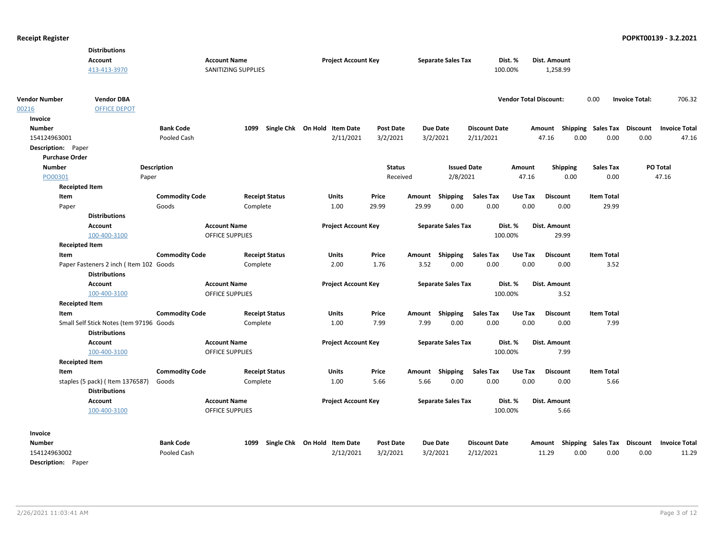|                           | <b>Distributions</b>                                    |                       |                        |                       |                              |                            |                  |        |                           |                      |         |                               |                 |                 |                   |                             |                      |
|---------------------------|---------------------------------------------------------|-----------------------|------------------------|-----------------------|------------------------------|----------------------------|------------------|--------|---------------------------|----------------------|---------|-------------------------------|-----------------|-----------------|-------------------|-----------------------------|----------------------|
|                           | <b>Account</b>                                          |                       | <b>Account Name</b>    |                       |                              | <b>Project Account Key</b> |                  |        | <b>Separate Sales Tax</b> |                      | Dist. % |                               | Dist. Amount    |                 |                   |                             |                      |
|                           | 413-413-3970                                            |                       | SANITIZING SUPPLIES    |                       |                              |                            |                  |        |                           |                      | 100.00% |                               | 1,258.99        |                 |                   |                             |                      |
|                           |                                                         |                       |                        |                       |                              |                            |                  |        |                           |                      |         |                               |                 |                 |                   |                             |                      |
| <b>Vendor Number</b>      | <b>Vendor DBA</b>                                       |                       |                        |                       |                              |                            |                  |        |                           |                      |         | <b>Vendor Total Discount:</b> |                 |                 | 0.00              | <b>Invoice Total:</b>       | 706.32               |
| 00216                     | <b>OFFICE DEPOT</b>                                     |                       |                        |                       |                              |                            |                  |        |                           |                      |         |                               |                 |                 |                   |                             |                      |
| Invoice                   |                                                         |                       |                        |                       |                              |                            |                  |        |                           |                      |         |                               |                 |                 |                   |                             |                      |
| <b>Number</b>             |                                                         | <b>Bank Code</b>      |                        | 1099                  | Single Chk On Hold Item Date |                            | <b>Post Date</b> |        | <b>Due Date</b>           | <b>Discount Date</b> |         |                               | Amount          |                 |                   | Shipping Sales Tax Discount | <b>Invoice Total</b> |
| 154124963001              |                                                         | Pooled Cash           |                        |                       |                              | 2/11/2021                  | 3/2/2021         |        | 3/2/2021                  | 2/11/2021            |         |                               | 47.16           | 0.00            | 0.00              | 0.00                        | 47.16                |
| Description: Paper        |                                                         |                       |                        |                       |                              |                            |                  |        |                           |                      |         |                               |                 |                 |                   |                             |                      |
| <b>Purchase Order</b>     |                                                         |                       |                        |                       |                              |                            |                  |        |                           |                      |         |                               |                 |                 |                   |                             |                      |
| <b>Number</b>             |                                                         | <b>Description</b>    |                        |                       |                              |                            | <b>Status</b>    |        | <b>Issued Date</b>        |                      |         | Amount                        |                 | <b>Shipping</b> | <b>Sales Tax</b>  |                             | PO Total             |
| PO00301                   | Paper                                                   |                       |                        |                       |                              |                            | Received         |        | 2/8/2021                  |                      |         | 47.16                         |                 | 0.00            | 0.00              |                             | 47.16                |
| <b>Receipted Item</b>     |                                                         |                       |                        |                       |                              |                            |                  |        |                           |                      |         |                               |                 |                 |                   |                             |                      |
| Item                      |                                                         | <b>Commodity Code</b> |                        | <b>Receipt Status</b> | Units                        |                            | Price            | Amount | Shipping                  | <b>Sales Tax</b>     |         | Use Tax                       | <b>Discount</b> |                 | <b>Item Total</b> |                             |                      |
| Paper                     |                                                         | Goods                 |                        | Complete              | 1.00                         |                            | 29.99            | 29.99  | 0.00                      |                      | 0.00    | 0.00                          |                 | 0.00            | 29.99             |                             |                      |
|                           | <b>Distributions</b>                                    |                       |                        |                       |                              |                            |                  |        |                           |                      |         |                               |                 |                 |                   |                             |                      |
|                           | <b>Account</b>                                          |                       | <b>Account Name</b>    |                       |                              | <b>Project Account Key</b> |                  |        | <b>Separate Sales Tax</b> |                      | Dist. % |                               | Dist. Amount    |                 |                   |                             |                      |
|                           | 100-400-3100                                            |                       | <b>OFFICE SUPPLIES</b> |                       |                              |                            |                  |        |                           |                      | 100.00% |                               |                 | 29.99           |                   |                             |                      |
| <b>Receipted Item</b>     |                                                         |                       |                        |                       |                              |                            |                  |        |                           |                      |         |                               |                 |                 |                   |                             |                      |
| Item                      |                                                         | <b>Commodity Code</b> |                        | <b>Receipt Status</b> | <b>Units</b>                 |                            | Price            |        | Amount Shipping           | <b>Sales Tax</b>     |         | Use Tax                       | <b>Discount</b> |                 | <b>Item Total</b> |                             |                      |
|                           | Paper Fasteners 2 inch (Item 102 Goods                  |                       |                        | Complete              | 2.00                         |                            | 1.76             | 3.52   | 0.00                      |                      | 0.00    | 0.00                          |                 | 0.00            | 3.52              |                             |                      |
|                           | <b>Distributions</b>                                    |                       |                        |                       |                              |                            |                  |        |                           |                      |         |                               |                 |                 |                   |                             |                      |
|                           | <b>Account</b>                                          |                       | <b>Account Name</b>    |                       |                              | <b>Project Account Key</b> |                  |        | <b>Separate Sales Tax</b> |                      | Dist. % |                               | Dist. Amount    |                 |                   |                             |                      |
|                           | 100-400-3100                                            |                       | <b>OFFICE SUPPLIES</b> |                       |                              |                            |                  |        |                           |                      | 100.00% |                               |                 | 3.52            |                   |                             |                      |
| <b>Receipted Item</b>     |                                                         |                       |                        |                       |                              |                            |                  |        |                           |                      |         |                               |                 |                 |                   |                             |                      |
| Item                      |                                                         | <b>Commodity Code</b> |                        | <b>Receipt Status</b> | <b>Units</b>                 |                            | Price            |        | Amount Shipping           | <b>Sales Tax</b>     |         | Use Tax                       | <b>Discount</b> |                 | <b>Item Total</b> |                             |                      |
|                           | Small Self Stick Notes (tem 97196 Goods                 |                       |                        | Complete              | 1.00                         |                            | 7.99             | 7.99   | 0.00                      |                      | 0.00    | 0.00                          |                 | 0.00            | 7.99              |                             |                      |
|                           | <b>Distributions</b>                                    |                       |                        |                       |                              |                            |                  |        |                           |                      |         |                               |                 |                 |                   |                             |                      |
|                           | <b>Account</b>                                          |                       | <b>Account Name</b>    |                       |                              | <b>Project Account Key</b> |                  |        | <b>Separate Sales Tax</b> |                      | Dist. % |                               | Dist. Amount    |                 |                   |                             |                      |
|                           | 100-400-3100                                            |                       | OFFICE SUPPLIES        |                       |                              |                            |                  |        |                           |                      | 100.00% |                               |                 | 7.99            |                   |                             |                      |
| <b>Receipted Item</b>     |                                                         |                       |                        |                       |                              |                            |                  |        |                           |                      |         |                               |                 |                 |                   |                             |                      |
| Item                      |                                                         | <b>Commodity Code</b> |                        | <b>Receipt Status</b> | Units                        |                            | Price            |        | Amount Shipping           | Sales Tax            |         | Use Tax                       | <b>Discount</b> |                 | <b>Item Total</b> |                             |                      |
|                           | staples (5 pack) (Item 1376587)<br><b>Distributions</b> | Goods                 |                        | Complete              | 1.00                         |                            | 5.66             | 5.66   | 0.00                      |                      | 0.00    | 0.00                          |                 | 0.00            | 5.66              |                             |                      |
|                           | <b>Account</b>                                          |                       | <b>Account Name</b>    |                       |                              | <b>Project Account Key</b> |                  |        | <b>Separate Sales Tax</b> |                      | Dist. % |                               | Dist. Amount    |                 |                   |                             |                      |
|                           | 100-400-3100                                            |                       | OFFICE SUPPLIES        |                       |                              |                            |                  |        |                           |                      | 100.00% |                               |                 | 5.66            |                   |                             |                      |
| Invoice                   |                                                         |                       |                        |                       |                              |                            |                  |        |                           |                      |         |                               |                 |                 |                   |                             |                      |
| <b>Number</b>             |                                                         | <b>Bank Code</b>      |                        | 1099                  | Single Chk On Hold Item Date |                            | <b>Post Date</b> |        | <b>Due Date</b>           | <b>Discount Date</b> |         |                               | Amount          |                 |                   | Shipping Sales Tax Discount | <b>Invoice Total</b> |
| 154124963002              |                                                         | Pooled Cash           |                        |                       |                              | 2/12/2021                  | 3/2/2021         |        | 3/2/2021                  | 2/12/2021            |         |                               | 11.29           | 0.00            | 0.00              | 0.00                        | 11.29                |
| <b>Description:</b> Paper |                                                         |                       |                        |                       |                              |                            |                  |        |                           |                      |         |                               |                 |                 |                   |                             |                      |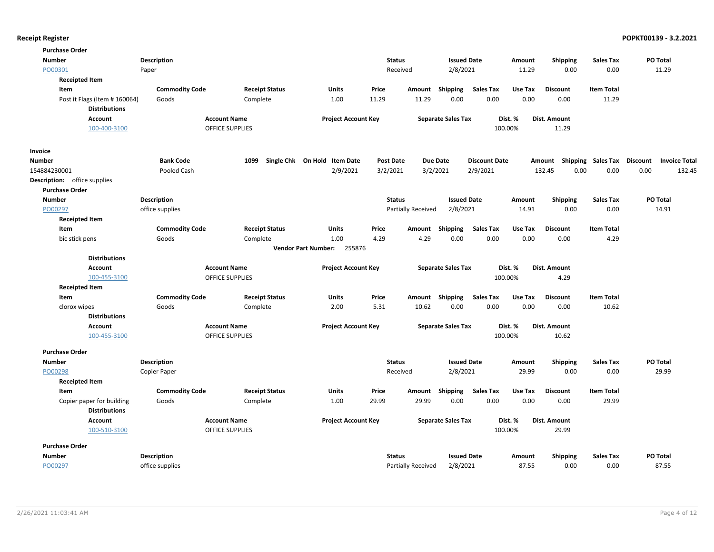| <b>Purchase Order</b>               |                       |                        |                                      |                  |                    |                           |                      |         |                           |                   |                                  |
|-------------------------------------|-----------------------|------------------------|--------------------------------------|------------------|--------------------|---------------------------|----------------------|---------|---------------------------|-------------------|----------------------------------|
| <b>Number</b>                       | <b>Description</b>    |                        |                                      | <b>Status</b>    |                    | <b>Issued Date</b>        |                      | Amount  | <b>Shipping</b>           | <b>Sales Tax</b>  | PO Total                         |
| PO00301                             | Paper                 |                        |                                      | Received         |                    | 2/8/2021                  |                      | 11.29   | 0.00                      | 0.00              | 11.29                            |
| <b>Receipted Item</b>               |                       |                        |                                      |                  |                    |                           |                      |         |                           |                   |                                  |
| Item                                | <b>Commodity Code</b> | <b>Receipt Status</b>  | <b>Units</b>                         | Price            | Amount             | Shipping                  | <b>Sales Tax</b>     | Use Tax | <b>Discount</b>           | <b>Item Total</b> |                                  |
| Post it Flags (Item # 160064)       | Goods                 | Complete               | 1.00                                 | 11.29            | 11.29              | 0.00                      | 0.00                 | 0.00    | 0.00                      | 11.29             |                                  |
| <b>Distributions</b>                |                       |                        |                                      |                  |                    |                           |                      |         |                           |                   |                                  |
| Account                             |                       | <b>Account Name</b>    | <b>Project Account Key</b>           |                  |                    | <b>Separate Sales Tax</b> |                      | Dist. % | Dist. Amount              |                   |                                  |
| 100-400-3100                        |                       | <b>OFFICE SUPPLIES</b> |                                      |                  |                    |                           |                      | 100.00% | 11.29                     |                   |                                  |
| Invoice                             |                       |                        |                                      |                  |                    |                           |                      |         |                           |                   |                                  |
| <b>Number</b>                       | <b>Bank Code</b>      | 1099                   | Single Chk On Hold Item Date         | <b>Post Date</b> |                    | <b>Due Date</b>           | <b>Discount Date</b> |         | Amount Shipping Sales Tax |                   | Discount<br><b>Invoice Total</b> |
| 154884230001                        | Pooled Cash           |                        | 2/9/2021                             | 3/2/2021         |                    | 3/2/2021                  | 2/9/2021             |         | 132.45<br>0.00            | 0.00              | 0.00<br>132.45                   |
| <b>Description:</b> office supplies |                       |                        |                                      |                  |                    |                           |                      |         |                           |                   |                                  |
| <b>Purchase Order</b>               |                       |                        |                                      |                  |                    |                           |                      |         |                           |                   |                                  |
| <b>Number</b>                       | <b>Description</b>    |                        |                                      | <b>Status</b>    |                    | <b>Issued Date</b>        |                      | Amount  | <b>Shipping</b>           | <b>Sales Tax</b>  | PO Total                         |
| PO00297                             | office supplies       |                        |                                      |                  | Partially Received | 2/8/2021                  |                      | 14.91   | 0.00                      | 0.00              | 14.91                            |
| <b>Receipted Item</b>               |                       |                        |                                      |                  |                    |                           |                      |         |                           |                   |                                  |
| Item                                | <b>Commodity Code</b> | <b>Receipt Status</b>  | <b>Units</b>                         | Price            | Amount             | Shipping                  | <b>Sales Tax</b>     | Use Tax | <b>Discount</b>           | <b>Item Total</b> |                                  |
| bic stick pens                      | Goods                 | Complete               | 1.00                                 | 4.29             | 4.29               | 0.00                      | 0.00                 | 0.00    | 0.00                      | 4.29              |                                  |
|                                     |                       |                        | <b>Vendor Part Number:</b><br>255876 |                  |                    |                           |                      |         |                           |                   |                                  |
| <b>Distributions</b>                |                       |                        |                                      |                  |                    |                           |                      |         |                           |                   |                                  |
| <b>Account</b>                      |                       | <b>Account Name</b>    | <b>Project Account Key</b>           |                  |                    | <b>Separate Sales Tax</b> |                      | Dist. % | <b>Dist. Amount</b>       |                   |                                  |
| 100-455-3100                        |                       | OFFICE SUPPLIES        |                                      |                  |                    |                           |                      | 100.00% | 4.29                      |                   |                                  |
| <b>Receipted Item</b>               |                       |                        |                                      |                  |                    |                           |                      |         |                           |                   |                                  |
| Item                                | <b>Commodity Code</b> | <b>Receipt Status</b>  | Units                                | Price            | Amount             | Shipping                  | <b>Sales Tax</b>     | Use Tax | <b>Discount</b>           | <b>Item Total</b> |                                  |
| clorox wipes                        | Goods                 | Complete               | 2.00                                 | 5.31             | 10.62              | 0.00                      | 0.00                 | 0.00    | 0.00                      | 10.62             |                                  |
| <b>Distributions</b>                |                       |                        |                                      |                  |                    |                           |                      |         |                           |                   |                                  |
| Account                             |                       | <b>Account Name</b>    | <b>Project Account Key</b>           |                  |                    | <b>Separate Sales Tax</b> |                      | Dist. % | Dist. Amount              |                   |                                  |
| 100-455-3100                        |                       | <b>OFFICE SUPPLIES</b> |                                      |                  |                    |                           |                      | 100.00% | 10.62                     |                   |                                  |
| <b>Purchase Order</b>               |                       |                        |                                      |                  |                    |                           |                      |         |                           |                   |                                  |
| Number                              | <b>Description</b>    |                        |                                      | <b>Status</b>    |                    | <b>Issued Date</b>        |                      | Amount  | Shipping                  | <b>Sales Tax</b>  | PO Total                         |
| PO00298                             | Copier Paper          |                        |                                      | Received         |                    | 2/8/2021                  |                      | 29.99   | 0.00                      | 0.00              | 29.99                            |
| <b>Receipted Item</b>               |                       |                        |                                      |                  |                    |                           |                      |         |                           |                   |                                  |
| Item                                | <b>Commodity Code</b> | <b>Receipt Status</b>  | Units                                | Price            | Amount             | Shipping                  | <b>Sales Tax</b>     | Use Tax | <b>Discount</b>           | <b>Item Total</b> |                                  |
| Copier paper for building           | Goods                 | Complete               | 1.00                                 | 29.99            | 29.99              | 0.00                      | 0.00                 | 0.00    | 0.00                      | 29.99             |                                  |
| <b>Distributions</b>                |                       |                        |                                      |                  |                    |                           |                      |         |                           |                   |                                  |
| <b>Account</b>                      |                       | <b>Account Name</b>    | <b>Project Account Key</b>           |                  |                    | <b>Separate Sales Tax</b> |                      | Dist. % | Dist. Amount              |                   |                                  |
| 100-510-3100                        |                       | <b>OFFICE SUPPLIES</b> |                                      |                  |                    |                           |                      | 100.00% | 29.99                     |                   |                                  |
| <b>Purchase Order</b>               |                       |                        |                                      |                  |                    |                           |                      |         |                           |                   |                                  |
| <b>Number</b>                       | <b>Description</b>    |                        |                                      | <b>Status</b>    |                    | <b>Issued Date</b>        |                      | Amount  | <b>Shipping</b>           | <b>Sales Tax</b>  | PO Total                         |
| PO00297                             | office supplies       |                        |                                      |                  | Partially Received | 2/8/2021                  |                      | 87.55   | 0.00                      | 0.00              | 87.55                            |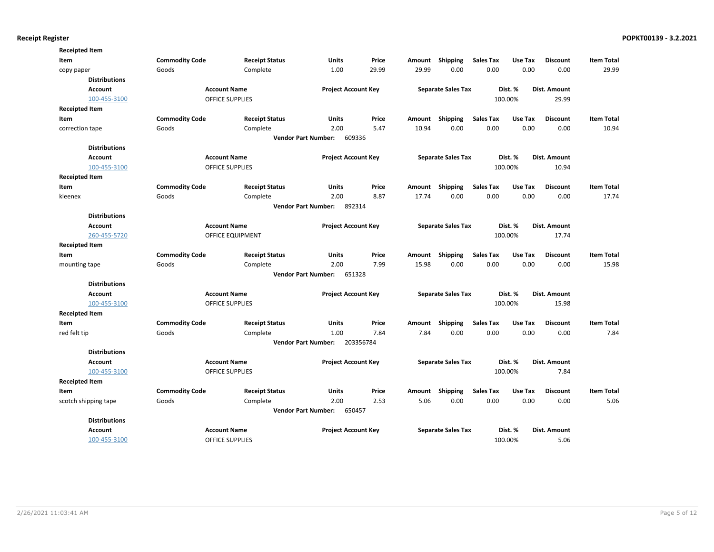| <b>Receipted Item</b> |                       |                        |                                      |           |        |                           |                  |         |                 |                   |
|-----------------------|-----------------------|------------------------|--------------------------------------|-----------|--------|---------------------------|------------------|---------|-----------------|-------------------|
| Item                  | <b>Commodity Code</b> | <b>Receipt Status</b>  | <b>Units</b>                         | Price     | Amount | Shipping                  | <b>Sales Tax</b> | Use Tax | <b>Discount</b> | <b>Item Total</b> |
| copy paper            | Goods                 | Complete               | 1.00                                 | 29.99     | 29.99  | 0.00                      | 0.00             | 0.00    | 0.00            | 29.99             |
| <b>Distributions</b>  |                       |                        |                                      |           |        |                           |                  |         |                 |                   |
| <b>Account</b>        |                       | <b>Account Name</b>    | <b>Project Account Key</b>           |           |        | <b>Separate Sales Tax</b> |                  | Dist. % | Dist. Amount    |                   |
| 100-455-3100          |                       | <b>OFFICE SUPPLIES</b> |                                      |           |        |                           |                  | 100.00% | 29.99           |                   |
| <b>Receipted Item</b> |                       |                        |                                      |           |        |                           |                  |         |                 |                   |
| Item                  | <b>Commodity Code</b> | <b>Receipt Status</b>  | Units                                | Price     | Amount | Shipping                  | <b>Sales Tax</b> | Use Tax | <b>Discount</b> | <b>Item Total</b> |
| correction tape       | Goods                 | Complete               | 2.00                                 | 5.47      | 10.94  | 0.00                      | 0.00             | 0.00    | 0.00            | 10.94             |
|                       |                       |                        | <b>Vendor Part Number:</b><br>609336 |           |        |                           |                  |         |                 |                   |
| <b>Distributions</b>  |                       |                        |                                      |           |        |                           |                  |         |                 |                   |
| <b>Account</b>        |                       | <b>Account Name</b>    | <b>Project Account Key</b>           |           |        | <b>Separate Sales Tax</b> |                  | Dist. % | Dist. Amount    |                   |
| 100-455-3100          |                       | <b>OFFICE SUPPLIES</b> |                                      |           |        |                           |                  | 100.00% | 10.94           |                   |
| <b>Receipted Item</b> |                       |                        |                                      |           |        |                           |                  |         |                 |                   |
| Item                  | <b>Commodity Code</b> | <b>Receipt Status</b>  | Units                                | Price     | Amount | Shipping                  | <b>Sales Tax</b> | Use Tax | <b>Discount</b> | <b>Item Total</b> |
| kleenex               | Goods                 | Complete               | 2.00                                 | 8.87      | 17.74  | 0.00                      | 0.00             | 0.00    | 0.00            | 17.74             |
|                       |                       |                        | 892314<br><b>Vendor Part Number:</b> |           |        |                           |                  |         |                 |                   |
| <b>Distributions</b>  |                       |                        |                                      |           |        |                           |                  |         |                 |                   |
| <b>Account</b>        |                       | <b>Account Name</b>    | <b>Project Account Key</b>           |           |        | <b>Separate Sales Tax</b> |                  | Dist. % | Dist. Amount    |                   |
| 260-455-5720          |                       | OFFICE EQUIPMENT       |                                      |           |        |                           |                  | 100.00% | 17.74           |                   |
| <b>Receipted Item</b> |                       |                        |                                      |           |        |                           |                  |         |                 |                   |
| Item                  | <b>Commodity Code</b> | <b>Receipt Status</b>  | <b>Units</b>                         | Price     | Amount | Shipping                  | <b>Sales Tax</b> | Use Tax | <b>Discount</b> | <b>Item Total</b> |
| mounting tape         | Goods                 | Complete               | 2.00                                 | 7.99      | 15.98  | 0.00                      | 0.00             | 0.00    | 0.00            | 15.98             |
|                       |                       |                        | 651328<br><b>Vendor Part Number:</b> |           |        |                           |                  |         |                 |                   |
| <b>Distributions</b>  |                       |                        |                                      |           |        |                           |                  |         |                 |                   |
| Account               |                       | <b>Account Name</b>    | <b>Project Account Key</b>           |           |        | <b>Separate Sales Tax</b> |                  | Dist. % | Dist. Amount    |                   |
| 100-455-3100          |                       | <b>OFFICE SUPPLIES</b> |                                      |           |        |                           |                  | 100.00% | 15.98           |                   |
| <b>Receipted Item</b> |                       |                        |                                      |           |        |                           |                  |         |                 |                   |
| Item                  | <b>Commodity Code</b> | <b>Receipt Status</b>  | <b>Units</b>                         | Price     | Amount | Shipping                  | <b>Sales Tax</b> | Use Tax | <b>Discount</b> | <b>Item Total</b> |
| red felt tip          | Goods                 | Complete               | 1.00                                 | 7.84      | 7.84   | 0.00                      | 0.00             | 0.00    | 0.00            | 7.84              |
|                       |                       |                        | <b>Vendor Part Number:</b>           | 203356784 |        |                           |                  |         |                 |                   |
| <b>Distributions</b>  |                       |                        |                                      |           |        |                           |                  |         |                 |                   |
| <b>Account</b>        |                       | <b>Account Name</b>    | <b>Project Account Key</b>           |           |        | <b>Separate Sales Tax</b> |                  | Dist. % | Dist. Amount    |                   |
| 100-455-3100          |                       | <b>OFFICE SUPPLIES</b> |                                      |           |        |                           |                  | 100.00% | 7.84            |                   |
| <b>Receipted Item</b> |                       |                        |                                      |           |        |                           |                  |         |                 |                   |
| Item                  | <b>Commodity Code</b> | <b>Receipt Status</b>  | Units                                | Price     | Amount | Shipping                  | Sales Tax        | Use Tax | <b>Discount</b> | <b>Item Total</b> |
| scotch shipping tape  | Goods                 | Complete               | 2.00                                 | 2.53      | 5.06   | 0.00                      | 0.00             | 0.00    | 0.00            | 5.06              |
|                       |                       |                        | 650457<br><b>Vendor Part Number:</b> |           |        |                           |                  |         |                 |                   |
| <b>Distributions</b>  |                       |                        |                                      |           |        |                           |                  |         |                 |                   |
| <b>Account</b>        |                       | <b>Account Name</b>    | <b>Project Account Key</b>           |           |        | <b>Separate Sales Tax</b> |                  | Dist. % | Dist. Amount    |                   |
| 100-455-3100          |                       | <b>OFFICE SUPPLIES</b> |                                      |           |        |                           |                  | 100.00% | 5.06            |                   |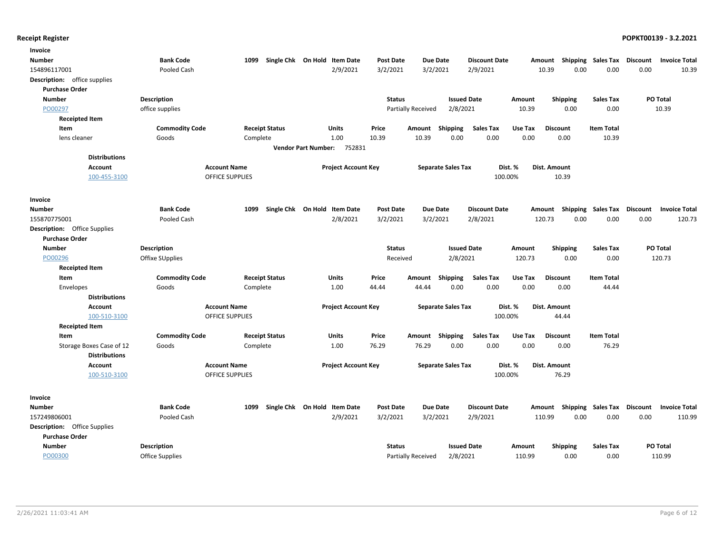| Invoice                             |                       |                        |                              |                  |                           |                    |                             |                                    |                   |                                  |
|-------------------------------------|-----------------------|------------------------|------------------------------|------------------|---------------------------|--------------------|-----------------------------|------------------------------------|-------------------|----------------------------------|
| Number                              | <b>Bank Code</b>      | 1099                   | Single Chk On Hold Item Date | <b>Post Date</b> | Due Date                  |                    | <b>Discount Date</b>        | Amount Shipping Sales Tax Discount |                   | <b>Invoice Total</b>             |
| 154896117001                        | Pooled Cash           |                        | 2/9/2021                     | 3/2/2021         | 3/2/2021                  | 2/9/2021           |                             | 10.39                              | 0.00<br>0.00      | 0.00<br>10.39                    |
| Description: office supplies        |                       |                        |                              |                  |                           |                    |                             |                                    |                   |                                  |
| <b>Purchase Order</b>               |                       |                        |                              |                  |                           |                    |                             |                                    |                   |                                  |
| <b>Number</b>                       | <b>Description</b>    |                        |                              | <b>Status</b>    |                           | <b>Issued Date</b> | Amount                      | Shipping                           | <b>Sales Tax</b>  | <b>PO Total</b>                  |
| PO00297                             | office supplies       |                        |                              |                  | Partially Received        | 2/8/2021           | 10.39                       | 0.00                               | 0.00              | 10.39                            |
| <b>Receipted Item</b>               |                       |                        |                              |                  |                           |                    |                             |                                    |                   |                                  |
| Item                                | <b>Commodity Code</b> | <b>Receipt Status</b>  | <b>Units</b>                 | Price            | Amount                    | Shipping           | <b>Sales Tax</b><br>Use Tax | <b>Discount</b>                    | <b>Item Total</b> |                                  |
| lens cleaner                        | Goods                 | Complete               | 1.00                         | 10.39            | 10.39                     | 0.00               | 0.00                        | 0.00<br>0.00                       | 10.39             |                                  |
|                                     |                       |                        | Vendor Part Number: 752831   |                  |                           |                    |                             |                                    |                   |                                  |
| <b>Distributions</b>                |                       |                        |                              |                  |                           |                    |                             |                                    |                   |                                  |
| <b>Account</b>                      |                       | <b>Account Name</b>    | <b>Project Account Key</b>   |                  | <b>Separate Sales Tax</b> |                    | Dist. %                     | Dist. Amount                       |                   |                                  |
| 100-455-3100                        |                       | <b>OFFICE SUPPLIES</b> |                              |                  |                           |                    | 100.00%                     | 10.39                              |                   |                                  |
|                                     |                       |                        |                              |                  |                           |                    |                             |                                    |                   |                                  |
| Invoice                             |                       |                        |                              |                  |                           |                    |                             |                                    |                   |                                  |
| Number                              | <b>Bank Code</b>      | 1099                   | Single Chk On Hold Item Date | <b>Post Date</b> | <b>Due Date</b>           |                    | <b>Discount Date</b>        | Amount Shipping                    | Sales Tax         | Discount<br><b>Invoice Total</b> |
| 155870775001                        | Pooled Cash           |                        | 2/8/2021                     | 3/2/2021         | 3/2/2021                  | 2/8/2021           |                             | 120.73                             | 0.00<br>0.00      | 0.00<br>120.73                   |
| <b>Description:</b> Office Supplies |                       |                        |                              |                  |                           |                    |                             |                                    |                   |                                  |
| <b>Purchase Order</b>               |                       |                        |                              |                  |                           |                    |                             |                                    |                   |                                  |
| <b>Number</b>                       | <b>Description</b>    |                        |                              | <b>Status</b>    |                           | <b>Issued Date</b> | Amount                      | <b>Shipping</b>                    | <b>Sales Tax</b>  | PO Total                         |
| PO00296                             | Offixe SUpplies       |                        |                              | Received         |                           | 2/8/2021           | 120.73                      | 0.00                               | 0.00              | 120.73                           |
| <b>Receipted Item</b>               |                       |                        |                              |                  |                           |                    |                             |                                    |                   |                                  |
| Item                                | <b>Commodity Code</b> | <b>Receipt Status</b>  | <b>Units</b>                 | Price            | Amount                    | Shipping           | <b>Sales Tax</b><br>Use Tax | <b>Discount</b>                    | <b>Item Total</b> |                                  |
| Envelopes                           | Goods                 | Complete               | 1.00                         | 44.44            | 44.44                     | 0.00               | 0.00                        | 0.00<br>0.00                       | 44.44             |                                  |
| <b>Distributions</b>                |                       |                        |                              |                  |                           |                    |                             |                                    |                   |                                  |
| <b>Account</b>                      |                       | <b>Account Name</b>    | <b>Project Account Key</b>   |                  | <b>Separate Sales Tax</b> |                    | Dist. %                     | Dist. Amount                       |                   |                                  |
| 100-510-3100                        |                       | <b>OFFICE SUPPLIES</b> |                              |                  |                           |                    | 100.00%                     | 44.44                              |                   |                                  |
| <b>Receipted Item</b>               |                       |                        |                              |                  |                           |                    |                             |                                    |                   |                                  |
| Item                                | <b>Commodity Code</b> | <b>Receipt Status</b>  | Units                        | Price            | Amount Shipping           |                    | <b>Sales Tax</b><br>Use Tax | <b>Discount</b>                    | <b>Item Total</b> |                                  |
| Storage Boxes Case of 12            | Goods                 | Complete               | 1.00                         | 76.29            | 76.29                     | 0.00               | 0.00                        | 0.00<br>0.00                       | 76.29             |                                  |
| <b>Distributions</b>                |                       |                        |                              |                  |                           |                    |                             |                                    |                   |                                  |
| <b>Account</b>                      |                       | <b>Account Name</b>    | <b>Project Account Key</b>   |                  | <b>Separate Sales Tax</b> |                    | Dist. %                     | Dist. Amount                       |                   |                                  |
| 100-510-3100                        |                       | <b>OFFICE SUPPLIES</b> |                              |                  |                           |                    | 100.00%                     | 76.29                              |                   |                                  |
|                                     |                       |                        |                              |                  |                           |                    |                             |                                    |                   |                                  |
|                                     |                       |                        |                              |                  |                           |                    |                             |                                    |                   |                                  |
| Invoice                             |                       |                        |                              |                  |                           |                    |                             |                                    |                   |                                  |
| <b>Number</b>                       | <b>Bank Code</b>      | 1099                   | Single Chk On Hold Item Date | <b>Post Date</b> | <b>Due Date</b>           |                    | <b>Discount Date</b>        | Amount Shipping Sales Tax          |                   | Discount<br><b>Invoice Total</b> |
| 157249806001                        | Pooled Cash           |                        | 2/9/2021                     | 3/2/2021         | 3/2/2021                  | 2/9/2021           |                             | 110.99                             | 0.00<br>0.00      | 0.00<br>110.99                   |
| <b>Description:</b> Office Supplies |                       |                        |                              |                  |                           |                    |                             |                                    |                   |                                  |
| <b>Purchase Order</b>               |                       |                        |                              |                  |                           |                    |                             |                                    |                   |                                  |
| Number                              | <b>Description</b>    |                        |                              | <b>Status</b>    |                           | <b>Issued Date</b> | Amount                      | <b>Shipping</b>                    | Sales Tax         | <b>PO Total</b>                  |
| PO00300                             | Office Supplies       |                        |                              |                  | Partially Received        | 2/8/2021           | 110.99                      | 0.00                               | 0.00              | 110.99                           |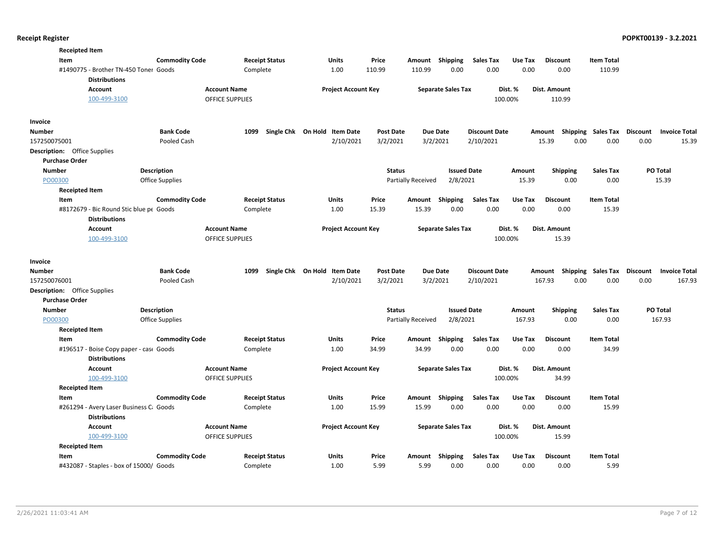|               | <b>Receipted Item</b>         |                                                                 |                        |                                        |                              |                  |                           |                           |                          |                    |                                    |                   |                                  |
|---------------|-------------------------------|-----------------------------------------------------------------|------------------------|----------------------------------------|------------------------------|------------------|---------------------------|---------------------------|--------------------------|--------------------|------------------------------------|-------------------|----------------------------------|
|               | Item                          |                                                                 | <b>Commodity Code</b>  | <b>Receipt Status</b>                  | <b>Units</b>                 | Price            | Amount                    | Shipping                  | <b>Sales Tax</b>         | Use Tax            | <b>Discount</b>                    | <b>Item Total</b> |                                  |
|               |                               | #1490775 - Brother TN-450 Toner Goods<br><b>Distributions</b>   |                        | Complete                               | 1.00                         | 110.99           | 110.99                    | 0.00                      | 0.00                     | 0.00               | 0.00                               | 110.99            |                                  |
|               |                               | <b>Account</b><br>100-499-3100                                  |                        | <b>Account Name</b><br>OFFICE SUPPLIES | <b>Project Account Key</b>   |                  |                           | <b>Separate Sales Tax</b> | 100.00%                  | Dist. %            | Dist. Amount<br>110.99             |                   |                                  |
| Invoice       |                               |                                                                 |                        |                                        |                              |                  |                           |                           |                          |                    |                                    |                   |                                  |
| Number        |                               |                                                                 | <b>Bank Code</b>       | 1099                                   | Single Chk On Hold Item Date | <b>Post Date</b> | <b>Due Date</b>           |                           | <b>Discount Date</b>     |                    | Amount Shipping Sales Tax          |                   | Discount<br><b>Invoice Total</b> |
| 157250075001  |                               |                                                                 | Pooled Cash            |                                        | 2/10/2021                    | 3/2/2021         | 3/2/2021                  |                           | 2/10/2021                |                    | 15.39<br>0.00                      | 0.00              | 0.00<br>15.39                    |
|               | Description: Office Supplies  |                                                                 |                        |                                        |                              |                  |                           |                           |                          |                    |                                    |                   |                                  |
|               | <b>Purchase Order</b>         |                                                                 |                        |                                        |                              |                  |                           |                           |                          |                    |                                    |                   |                                  |
| <b>Number</b> |                               |                                                                 | Description            |                                        |                              | <b>Status</b>    |                           | <b>Issued Date</b>        |                          | Amount             | <b>Shipping</b>                    | <b>Sales Tax</b>  | PO Total                         |
| PO00300       |                               |                                                                 | <b>Office Supplies</b> |                                        |                              |                  | <b>Partially Received</b> | 2/8/2021                  |                          | 15.39              | 0.00                               | 0.00              | 15.39                            |
|               | <b>Receipted Item</b>         |                                                                 |                        |                                        |                              |                  |                           |                           |                          |                    |                                    |                   |                                  |
|               | Item                          |                                                                 | <b>Commodity Code</b>  | <b>Receipt Status</b>                  | Units                        | Price            | Amount Shipping           |                           | <b>Sales Tax</b>         | Use Tax            | <b>Discount</b>                    | <b>Item Total</b> |                                  |
|               |                               | #8172679 - Bic Round Stic blue pe Goods                         |                        | Complete                               | 1.00                         | 15.39            | 15.39                     | 0.00                      | 0.00                     | 0.00               | 0.00                               | 15.39             |                                  |
|               |                               | <b>Distributions</b>                                            |                        |                                        |                              |                  |                           |                           |                          |                    |                                    |                   |                                  |
|               |                               | <b>Account</b><br>100-499-3100                                  |                        | <b>Account Name</b><br>OFFICE SUPPLIES | <b>Project Account Key</b>   |                  |                           | <b>Separate Sales Tax</b> |                          | Dist. %<br>100.00% | Dist. Amount<br>15.39              |                   |                                  |
|               |                               |                                                                 |                        |                                        |                              |                  |                           |                           |                          |                    |                                    |                   |                                  |
| Invoice       |                               |                                                                 |                        |                                        |                              |                  |                           |                           |                          |                    |                                    |                   |                                  |
| Number        |                               |                                                                 | <b>Bank Code</b>       | 1099                                   | Single Chk On Hold Item Date | <b>Post Date</b> | <b>Due Date</b>           |                           | <b>Discount Date</b>     |                    | Amount Shipping Sales Tax Discount |                   | <b>Invoice Total</b>             |
| 157250076001  |                               |                                                                 | Pooled Cash            |                                        | 2/10/2021                    | 3/2/2021         | 3/2/2021                  |                           | 2/10/2021                |                    | 167.93<br>0.00                     | 0.00              | 0.00<br>167.93                   |
|               | Description: Office Supplies  |                                                                 |                        |                                        |                              |                  |                           |                           |                          |                    |                                    |                   |                                  |
|               | <b>Purchase Order</b>         |                                                                 |                        |                                        |                              |                  |                           |                           |                          |                    |                                    |                   |                                  |
| <b>Number</b> |                               |                                                                 | Description            |                                        |                              | <b>Status</b>    |                           | <b>Issued Date</b>        |                          | Amount             | <b>Shipping</b>                    | <b>Sales Tax</b>  | PO Total                         |
| PO00300       |                               |                                                                 | <b>Office Supplies</b> |                                        |                              |                  | <b>Partially Received</b> | 2/8/2021                  |                          | 167.93             | 0.00                               | 0.00              | 167.93                           |
|               | <b>Receipted Item</b><br>Item |                                                                 | <b>Commodity Code</b>  | <b>Receipt Status</b>                  | Units                        | Price            |                           |                           |                          | Use Tax            | <b>Discount</b>                    | <b>Item Total</b> |                                  |
|               |                               | #196517 - Boise Copy paper - case Goods                         |                        | Complete                               | 1.00                         | 34.99            | Amount<br>34.99           | Shipping<br>0.00          | <b>Sales Tax</b><br>0.00 | 0.00               | 0.00                               | 34.99             |                                  |
|               |                               | <b>Distributions</b>                                            |                        |                                        |                              |                  |                           |                           |                          |                    |                                    |                   |                                  |
|               |                               | <b>Account</b>                                                  |                        | <b>Account Name</b>                    | <b>Project Account Key</b>   |                  |                           | <b>Separate Sales Tax</b> |                          | Dist. %            | Dist. Amount                       |                   |                                  |
|               |                               | 100-499-3100                                                    |                        | OFFICE SUPPLIES                        |                              |                  |                           |                           |                          | 100.00%            | 34.99                              |                   |                                  |
|               | <b>Receipted Item</b>         |                                                                 |                        |                                        |                              |                  |                           |                           |                          |                    |                                    |                   |                                  |
|               | Item                          |                                                                 | <b>Commodity Code</b>  | <b>Receipt Status</b>                  | Units                        | Price            | Amount                    | Shipping                  | Sales Tax                | Use Tax            | <b>Discount</b>                    | <b>Item Total</b> |                                  |
|               |                               | #261294 - Avery Laser Business C: Goods<br><b>Distributions</b> |                        | Complete                               | 1.00                         | 15.99            | 15.99                     | 0.00                      | 0.00                     | 0.00               | 0.00                               | 15.99             |                                  |
|               |                               | Account                                                         |                        | <b>Account Name</b>                    | <b>Project Account Key</b>   |                  |                           | <b>Separate Sales Tax</b> |                          | Dist. %            | Dist. Amount                       |                   |                                  |
|               |                               | 100-499-3100                                                    |                        | OFFICE SUPPLIES                        |                              |                  |                           |                           |                          | 100.00%            | 15.99                              |                   |                                  |
|               | <b>Receipted Item</b>         |                                                                 |                        |                                        |                              |                  |                           |                           |                          |                    |                                    |                   |                                  |
|               | Item                          |                                                                 | <b>Commodity Code</b>  | <b>Receipt Status</b>                  | Units                        | Price            | Amount                    | Shipping                  | Sales Tax                | Use Tax            | <b>Discount</b>                    | <b>Item Total</b> |                                  |
|               |                               | #432087 - Staples - box of 15000/ Goods                         |                        | Complete                               | 1.00                         | 5.99             | 5.99                      | 0.00                      | 0.00                     | 0.00               | 0.00                               | 5.99              |                                  |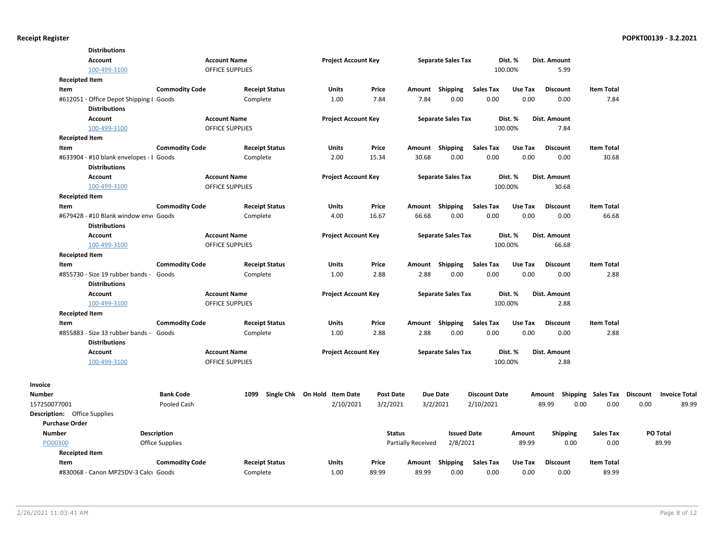|                        |                                     | <b>Distributions</b>                                            |                                 |                        |                                           |                              |                    |                             |                                   |         |                         |                                     |                                       |
|------------------------|-------------------------------------|-----------------------------------------------------------------|---------------------------------|------------------------|-------------------------------------------|------------------------------|--------------------|-----------------------------|-----------------------------------|---------|-------------------------|-------------------------------------|---------------------------------------|
|                        |                                     | <b>Account</b>                                                  |                                 | <b>Account Name</b>    | <b>Project Account Key</b>                |                              |                    | <b>Separate Sales Tax</b>   |                                   | Dist. % | Dist. Amount            |                                     |                                       |
|                        |                                     | 100-499-3100                                                    |                                 | <b>OFFICE SUPPLIES</b> |                                           |                              |                    |                             |                                   | 100.00% | 5.99                    |                                     |                                       |
|                        | <b>Receipted Item</b>               |                                                                 |                                 |                        |                                           |                              |                    |                             |                                   |         |                         |                                     |                                       |
|                        | Item                                |                                                                 | <b>Commodity Code</b>           | <b>Receipt Status</b>  | <b>Units</b>                              | Price                        | Amount             | Shipping                    | <b>Sales Tax</b>                  | Use Tax | <b>Discount</b>         | <b>Item Total</b>                   |                                       |
|                        |                                     | #612051 - Office Depot Shipping I Goods                         |                                 | Complete               | 1.00                                      | 7.84                         | 7.84               | 0.00                        | 0.00                              | 0.00    | 0.00                    | 7.84                                |                                       |
|                        |                                     | <b>Distributions</b>                                            |                                 |                        |                                           |                              |                    |                             |                                   |         |                         |                                     |                                       |
|                        |                                     | <b>Account</b>                                                  |                                 | <b>Account Name</b>    | <b>Project Account Key</b>                |                              |                    | <b>Separate Sales Tax</b>   |                                   | Dist. % | Dist. Amount            |                                     |                                       |
|                        |                                     | 100-499-3100                                                    |                                 | OFFICE SUPPLIES        |                                           |                              |                    |                             |                                   | 100.00% | 7.84                    |                                     |                                       |
|                        | <b>Receipted Item</b>               |                                                                 |                                 |                        |                                           |                              |                    |                             |                                   |         |                         |                                     |                                       |
|                        | Item                                |                                                                 | <b>Commodity Code</b>           | <b>Receipt Status</b>  | Units                                     | Price                        |                    | Amount Shipping             | <b>Sales Tax</b>                  | Use Tax | <b>Discount</b>         | <b>Item Total</b>                   |                                       |
|                        |                                     | #633904 - #10 blank envelopes - I Goods<br><b>Distributions</b> |                                 | Complete               | 2.00                                      | 15.34                        | 30.68              | 0.00                        | 0.00                              | 0.00    | 0.00                    | 30.68                               |                                       |
|                        |                                     | <b>Account</b>                                                  |                                 | <b>Account Name</b>    | <b>Project Account Key</b>                |                              |                    | <b>Separate Sales Tax</b>   |                                   | Dist. % | Dist. Amount            |                                     |                                       |
|                        |                                     | 100-499-3100                                                    |                                 | <b>OFFICE SUPPLIES</b> |                                           |                              |                    |                             |                                   | 100.00% | 30.68                   |                                     |                                       |
|                        | <b>Receipted Item</b>               |                                                                 |                                 |                        |                                           |                              |                    |                             |                                   |         |                         |                                     |                                       |
|                        | Item                                |                                                                 | <b>Commodity Code</b>           | <b>Receipt Status</b>  | Units                                     | Price                        |                    | Amount Shipping             | <b>Sales Tax</b>                  | Use Tax | <b>Discount</b>         | <b>Item Total</b>                   |                                       |
|                        |                                     | #679428 - #10 Blank window enve Goods<br><b>Distributions</b>   |                                 | Complete               | 4.00                                      | 16.67                        | 66.68              | 0.00                        | 0.00                              | 0.00    | 0.00                    | 66.68                               |                                       |
|                        |                                     | <b>Account</b>                                                  |                                 | <b>Account Name</b>    | <b>Project Account Key</b>                |                              |                    | <b>Separate Sales Tax</b>   |                                   | Dist. % | Dist. Amount            |                                     |                                       |
|                        |                                     | 100-499-3100                                                    |                                 | OFFICE SUPPLIES        |                                           |                              |                    |                             |                                   | 100.00% | 66.68                   |                                     |                                       |
|                        | <b>Receipted Item</b>               |                                                                 |                                 |                        |                                           |                              |                    |                             |                                   |         |                         |                                     |                                       |
|                        | Item                                |                                                                 | <b>Commodity Code</b>           | <b>Receipt Status</b>  | <b>Units</b>                              | Price                        |                    | Amount Shipping             | <b>Sales Tax</b>                  | Use Tax | <b>Discount</b>         | <b>Item Total</b>                   |                                       |
|                        |                                     | #855730 - Size 19 rubber bands -                                | Goods                           | Complete               | 1.00                                      | 2.88                         | 2.88               | 0.00                        | 0.00                              | 0.00    | 0.00                    | 2.88                                |                                       |
|                        |                                     | <b>Distributions</b>                                            |                                 |                        |                                           |                              |                    |                             |                                   |         |                         |                                     |                                       |
|                        |                                     | <b>Account</b>                                                  |                                 | <b>Account Name</b>    | <b>Project Account Key</b>                |                              |                    | <b>Separate Sales Tax</b>   |                                   | Dist. % | Dist. Amount            |                                     |                                       |
|                        |                                     | 100-499-3100                                                    |                                 | <b>OFFICE SUPPLIES</b> |                                           |                              |                    |                             |                                   | 100.00% | 2.88                    |                                     |                                       |
|                        | <b>Receipted Item</b>               |                                                                 |                                 |                        |                                           |                              |                    |                             |                                   |         |                         |                                     |                                       |
|                        | Item                                |                                                                 | <b>Commodity Code</b>           | <b>Receipt Status</b>  | <b>Units</b>                              | Price                        | Amount             | Shipping                    | <b>Sales Tax</b>                  | Use Tax | <b>Discount</b>         | <b>Item Total</b>                   |                                       |
|                        |                                     | #855883 - Size 33 rubber bands -                                | Goods                           | Complete               | 1.00                                      | 2.88                         | 2.88               | 0.00                        | 0.00                              | 0.00    | 0.00                    | 2.88                                |                                       |
|                        |                                     | <b>Distributions</b>                                            |                                 |                        |                                           |                              |                    |                             |                                   |         |                         |                                     |                                       |
|                        |                                     |                                                                 |                                 |                        |                                           |                              |                    |                             |                                   |         |                         |                                     |                                       |
|                        |                                     | <b>Account</b>                                                  |                                 | <b>Account Name</b>    | <b>Project Account Key</b>                |                              |                    | <b>Separate Sales Tax</b>   |                                   | Dist. % | Dist. Amount            |                                     |                                       |
|                        |                                     | 100-499-3100                                                    |                                 | <b>OFFICE SUPPLIES</b> |                                           |                              |                    |                             |                                   | 100.00% | 2.88                    |                                     |                                       |
| Invoice                |                                     |                                                                 |                                 |                        |                                           |                              |                    |                             |                                   |         |                         |                                     |                                       |
| Number<br>157250077001 |                                     |                                                                 | <b>Bank Code</b><br>Pooled Cash | 1099                   | Single Chk On Hold Item Date<br>2/10/2021 | <b>Post Date</b><br>3/2/2021 |                    | <b>Due Date</b><br>3/2/2021 | <b>Discount Date</b><br>2/10/2021 |         | Amount<br>89.99<br>0.00 | Shipping Sales Tax Discount<br>0.00 | <b>Invoice Total</b><br>89.99<br>0.00 |
|                        | <b>Description:</b> Office Supplies |                                                                 |                                 |                        |                                           |                              |                    |                             |                                   |         |                         |                                     |                                       |
|                        | <b>Purchase Order</b>               |                                                                 |                                 |                        |                                           |                              |                    |                             |                                   |         |                         |                                     |                                       |
| Number                 |                                     |                                                                 | Description                     |                        |                                           | <b>Status</b>                |                    | <b>Issued Date</b>          |                                   | Amount  | <b>Shipping</b>         | <b>Sales Tax</b>                    | PO Total                              |
|                        | PO00300                             |                                                                 | Office Supplies                 |                        |                                           |                              | Partially Received | 2/8/2021                    |                                   | 89.99   | 0.00                    | 0.00                                | 89.99                                 |
|                        | <b>Receipted Item</b>               |                                                                 |                                 |                        |                                           |                              |                    |                             |                                   |         |                         |                                     |                                       |
|                        | Item                                |                                                                 | <b>Commodity Code</b>           | <b>Receipt Status</b>  | Units                                     | Price                        | Amount Shipping    |                             | <b>Sales Tax</b>                  | Use Tax | <b>Discount</b>         | <b>Item Total</b>                   |                                       |
|                        |                                     | #830068 - Canon MP25DV-3 Calcu Goods                            |                                 | Complete               | 1.00                                      | 89.99                        | 89.99              | 0.00                        | 0.00                              | 0.00    | 0.00                    | 89.99                               |                                       |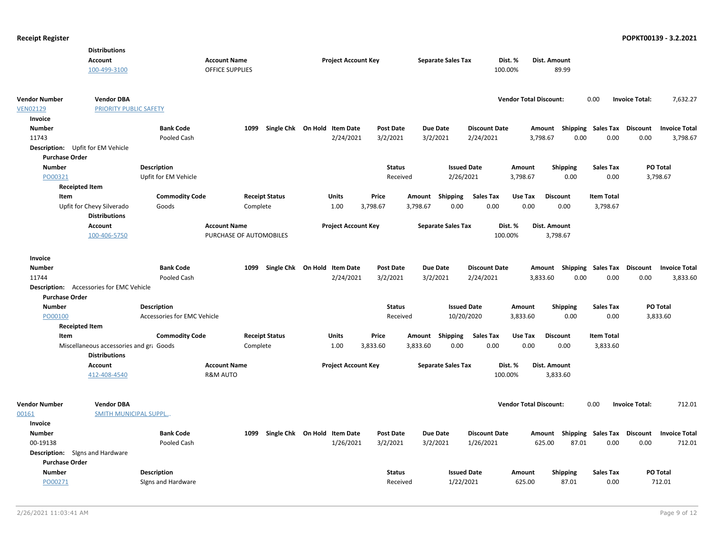|                                   | <b>Distributions</b>                    |                             |                         |                              |                            |                  |          |                           |                      |                               |                     |       |                                    |                       |                      |
|-----------------------------------|-----------------------------------------|-----------------------------|-------------------------|------------------------------|----------------------------|------------------|----------|---------------------------|----------------------|-------------------------------|---------------------|-------|------------------------------------|-----------------------|----------------------|
|                                   | <b>Account</b>                          |                             | <b>Account Name</b>     |                              | <b>Project Account Key</b> |                  |          | <b>Separate Sales Tax</b> |                      | Dist. %                       | Dist. Amount        |       |                                    |                       |                      |
|                                   | 100-499-3100                            |                             | <b>OFFICE SUPPLIES</b>  |                              |                            |                  |          |                           |                      | 100.00%                       | 89.99               |       |                                    |                       |                      |
|                                   |                                         |                             |                         |                              |                            |                  |          |                           |                      |                               |                     |       |                                    |                       |                      |
| <b>Vendor Number</b>              | <b>Vendor DBA</b>                       |                             |                         |                              |                            |                  |          |                           |                      | <b>Vendor Total Discount:</b> |                     |       | 0.00                               | <b>Invoice Total:</b> | 7,632.27             |
| <b>VEN02129</b>                   | PRIORITY PUBLIC SAFETY                  |                             |                         |                              |                            |                  |          |                           |                      |                               |                     |       |                                    |                       |                      |
| Invoice                           |                                         |                             |                         |                              |                            |                  |          |                           |                      |                               |                     |       |                                    |                       |                      |
| <b>Number</b>                     |                                         | <b>Bank Code</b>            | 1099                    | Single Chk On Hold Item Date |                            | <b>Post Date</b> |          | Due Date                  | <b>Discount Date</b> |                               |                     |       | Amount Shipping Sales Tax Discount |                       | <b>Invoice Total</b> |
| 11743                             |                                         | Pooled Cash                 |                         |                              | 2/24/2021                  | 3/2/2021         |          | 3/2/2021                  | 2/24/2021            |                               | 3,798.67            | 0.00  | 0.00                               | 0.00                  | 3,798.67             |
| Description: Upfit for EM Vehicle |                                         |                             |                         |                              |                            |                  |          |                           |                      |                               |                     |       |                                    |                       |                      |
| <b>Purchase Order</b>             |                                         |                             |                         |                              |                            |                  |          |                           |                      |                               |                     |       |                                    |                       |                      |
| <b>Number</b>                     |                                         | <b>Description</b>          |                         |                              |                            | <b>Status</b>    |          |                           | <b>Issued Date</b>   | Amount                        | Shipping            |       | <b>Sales Tax</b>                   |                       | PO Total             |
| PO00321                           |                                         | Upfit for EM Vehicle        |                         |                              |                            | Received         |          | 2/26/2021                 |                      | 3,798.67                      |                     | 0.00  | 0.00                               |                       | 3,798.67             |
| <b>Receipted Item</b>             |                                         |                             |                         |                              |                            |                  |          |                           |                      |                               |                     |       |                                    |                       |                      |
| Item                              |                                         | <b>Commodity Code</b>       | <b>Receipt Status</b>   |                              | <b>Units</b>               | Price            |          | Amount Shipping           | <b>Sales Tax</b>     | Use Tax                       | <b>Discount</b>     |       | <b>Item Total</b>                  |                       |                      |
|                                   | Upfit for Chevy Silverado               | Goods                       | Complete                |                              | 1.00                       | 3,798.67         | 3,798.67 | 0.00                      | 0.00                 | 0.00                          | 0.00                |       | 3,798.67                           |                       |                      |
|                                   | <b>Distributions</b>                    |                             |                         |                              |                            |                  |          |                           |                      |                               |                     |       |                                    |                       |                      |
|                                   | <b>Account</b>                          |                             | <b>Account Name</b>     |                              | <b>Project Account Key</b> |                  |          | <b>Separate Sales Tax</b> |                      | Dist. %                       | Dist. Amount        |       |                                    |                       |                      |
|                                   | 100-406-5750                            |                             | PURCHASE OF AUTOMOBILES |                              |                            |                  |          |                           |                      | 100.00%                       | 3,798.67            |       |                                    |                       |                      |
|                                   |                                         |                             |                         |                              |                            |                  |          |                           |                      |                               |                     |       |                                    |                       |                      |
| Invoice                           |                                         |                             |                         |                              |                            |                  |          |                           |                      |                               |                     |       |                                    |                       |                      |
| Number                            |                                         | <b>Bank Code</b>            | 1099                    | Single Chk On Hold Item Date |                            | <b>Post Date</b> |          | <b>Due Date</b>           | <b>Discount Date</b> |                               |                     |       | Amount Shipping Sales Tax Discount |                       | <b>Invoice Total</b> |
| 11744                             |                                         | Pooled Cash                 |                         |                              | 2/24/2021                  | 3/2/2021         |          | 3/2/2021                  | 2/24/2021            |                               | 3,833.60            | 0.00  | 0.00                               | 0.00                  | 3,833.60             |
| <b>Description:</b>               | Accessories for EMC Vehicle             |                             |                         |                              |                            |                  |          |                           |                      |                               |                     |       |                                    |                       |                      |
| <b>Purchase Order</b>             |                                         |                             |                         |                              |                            |                  |          |                           |                      |                               |                     |       |                                    |                       |                      |
| <b>Number</b>                     |                                         | <b>Description</b>          |                         |                              |                            | <b>Status</b>    |          |                           | <b>Issued Date</b>   | Amount                        | <b>Shipping</b>     |       | <b>Sales Tax</b>                   |                       | PO Total             |
| PO00100                           |                                         | Accessories for EMC Vehicle |                         |                              |                            | Received         |          |                           | 10/20/2020           | 3,833.60                      |                     | 0.00  | 0.00                               |                       | 3,833.60             |
| <b>Receipted Item</b>             |                                         |                             |                         |                              |                            |                  |          |                           |                      |                               |                     |       |                                    |                       |                      |
| Item                              |                                         | <b>Commodity Code</b>       | <b>Receipt Status</b>   |                              | <b>Units</b>               | Price            |          | Amount Shipping           | <b>Sales Tax</b>     | Use Tax                       | <b>Discount</b>     |       | <b>Item Total</b>                  |                       |                      |
|                                   | Miscellaneous accessories and gra Goods |                             | Complete                |                              | 1.00                       | 3,833.60         | 3,833.60 | 0.00                      | 0.00                 | 0.00                          | 0.00                |       | 3,833.60                           |                       |                      |
|                                   | <b>Distributions</b>                    |                             |                         |                              |                            |                  |          |                           |                      |                               |                     |       |                                    |                       |                      |
|                                   | <b>Account</b>                          |                             | <b>Account Name</b>     |                              | <b>Project Account Key</b> |                  |          | <b>Separate Sales Tax</b> |                      | Dist. %                       | <b>Dist. Amount</b> |       |                                    |                       |                      |
|                                   | 412-408-4540                            |                             | <b>R&amp;M AUTO</b>     |                              |                            |                  |          |                           |                      | 100.00%                       | 3,833.60            |       |                                    |                       |                      |
|                                   |                                         |                             |                         |                              |                            |                  |          |                           |                      |                               |                     |       |                                    |                       |                      |
| <b>Vendor Number</b>              | <b>Vendor DBA</b>                       |                             |                         |                              |                            |                  |          |                           |                      | <b>Vendor Total Discount:</b> |                     |       | 0.00                               | <b>Invoice Total:</b> | 712.01               |
| 00161                             | <b>SMITH MUNICIPAL SUPPL</b>            |                             |                         |                              |                            |                  |          |                           |                      |                               |                     |       |                                    |                       |                      |
| Invoice                           |                                         |                             |                         |                              |                            |                  |          |                           |                      |                               |                     |       |                                    |                       |                      |
| <b>Number</b>                     |                                         | <b>Bank Code</b>            | 1099                    | Single Chk On Hold Item Date |                            | <b>Post Date</b> |          | Due Date                  | <b>Discount Date</b> |                               |                     |       | Amount Shipping Sales Tax          | Discount              | <b>Invoice Total</b> |
| 00-19138                          |                                         | Pooled Cash                 |                         |                              | 1/26/2021                  | 3/2/2021         |          | 3/2/2021                  | 1/26/2021            |                               | 625.00              | 87.01 | 0.00                               | 0.00                  | 712.01               |
| Description: Signs and Hardware   |                                         |                             |                         |                              |                            |                  |          |                           |                      |                               |                     |       |                                    |                       |                      |
| <b>Purchase Order</b>             |                                         |                             |                         |                              |                            |                  |          |                           |                      |                               |                     |       |                                    |                       |                      |
| <b>Number</b>                     |                                         | Description                 |                         |                              |                            | <b>Status</b>    |          | <b>Issued Date</b>        |                      | Amount                        | <b>Shipping</b>     |       | <b>Sales Tax</b>                   |                       | PO Total             |
| PO00271                           |                                         | Signs and Hardware          |                         |                              |                            | Received         |          | 1/22/2021                 |                      | 625.00                        |                     | 87.01 | 0.00                               |                       | 712.01               |
|                                   |                                         |                             |                         |                              |                            |                  |          |                           |                      |                               |                     |       |                                    |                       |                      |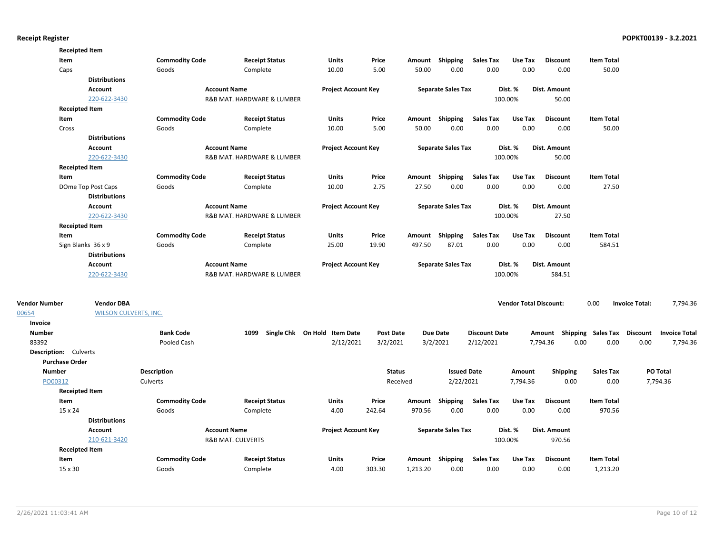|                       | <b>Receipted Item</b>        |                       |                              |                              |                  |          |                           |                      |                               |                    |                           |                       |                      |
|-----------------------|------------------------------|-----------------------|------------------------------|------------------------------|------------------|----------|---------------------------|----------------------|-------------------------------|--------------------|---------------------------|-----------------------|----------------------|
|                       | Item                         | <b>Commodity Code</b> | <b>Receipt Status</b>        | <b>Units</b>                 | Price            |          | Amount Shipping           | Sales Tax            | Use Tax                       | <b>Discount</b>    | <b>Item Total</b>         |                       |                      |
|                       | Caps                         | Goods                 | Complete                     | 10.00                        | 5.00             | 50.00    | 0.00                      | 0.00                 | 0.00                          | 0.00               | 50.00                     |                       |                      |
|                       | <b>Distributions</b>         |                       |                              |                              |                  |          |                           |                      |                               |                    |                           |                       |                      |
|                       | Account                      |                       | <b>Account Name</b>          | <b>Project Account Key</b>   |                  |          | <b>Separate Sales Tax</b> |                      | Dist. %                       | Dist. Amount       |                           |                       |                      |
|                       | 220-622-3430                 |                       | R&B MAT. HARDWARE & LUMBER   |                              |                  |          |                           |                      | 100.00%                       | 50.00              |                           |                       |                      |
|                       | <b>Receipted Item</b>        |                       |                              |                              |                  |          |                           |                      |                               |                    |                           |                       |                      |
|                       | Item                         | <b>Commodity Code</b> | <b>Receipt Status</b>        | <b>Units</b>                 | Price            |          | Amount Shipping           | <b>Sales Tax</b>     | Use Tax                       | <b>Discount</b>    | <b>Item Total</b>         |                       |                      |
|                       | Cross                        | Goods                 | Complete                     | 10.00                        | 5.00             | 50.00    | 0.00                      | 0.00                 | 0.00                          | 0.00               | 50.00                     |                       |                      |
|                       | <b>Distributions</b>         |                       |                              |                              |                  |          |                           |                      |                               |                    |                           |                       |                      |
|                       | Account                      |                       | <b>Account Name</b>          | <b>Project Account Key</b>   |                  |          | <b>Separate Sales Tax</b> |                      | Dist. %                       | Dist. Amount       |                           |                       |                      |
|                       | 220-622-3430                 |                       | R&B MAT. HARDWARE & LUMBER   |                              |                  |          |                           |                      | 100.00%                       | 50.00              |                           |                       |                      |
|                       | <b>Receipted Item</b>        |                       |                              |                              |                  |          |                           |                      |                               |                    |                           |                       |                      |
|                       | Item                         | <b>Commodity Code</b> | <b>Receipt Status</b>        | <b>Units</b>                 | Price            |          | Amount Shipping           | <b>Sales Tax</b>     | Use Tax                       | <b>Discount</b>    | <b>Item Total</b>         |                       |                      |
|                       | DOme Top Post Caps           | Goods                 | Complete                     | 10.00                        | 2.75             | 27.50    | 0.00                      | 0.00                 | 0.00                          | 0.00               | 27.50                     |                       |                      |
|                       | <b>Distributions</b>         |                       |                              |                              |                  |          |                           |                      |                               |                    |                           |                       |                      |
|                       | Account                      |                       | <b>Account Name</b>          | <b>Project Account Key</b>   |                  |          | <b>Separate Sales Tax</b> |                      | Dist. %                       | Dist. Amount       |                           |                       |                      |
|                       | 220-622-3430                 |                       | R&B MAT. HARDWARE & LUMBER   |                              |                  |          |                           |                      | 100.00%                       | 27.50              |                           |                       |                      |
|                       | <b>Receipted Item</b>        |                       |                              |                              |                  |          |                           |                      |                               |                    |                           |                       |                      |
|                       | Item                         | <b>Commodity Code</b> | <b>Receipt Status</b>        | <b>Units</b>                 | Price            |          | Amount Shipping           | <b>Sales Tax</b>     | Use Tax                       | <b>Discount</b>    | <b>Item Total</b>         |                       |                      |
|                       | Sign Blanks 36 x 9           | Goods                 | Complete                     | 25.00                        | 19.90            | 497.50   | 87.01                     | 0.00                 | 0.00                          | 0.00               | 584.51                    |                       |                      |
|                       | <b>Distributions</b>         |                       |                              |                              |                  |          |                           |                      |                               |                    |                           |                       |                      |
|                       | Account                      |                       | <b>Account Name</b>          |                              |                  |          |                           |                      | Dist. %                       | Dist. Amount       |                           |                       |                      |
|                       | 220-622-3430                 |                       | R&B MAT. HARDWARE & LUMBER   | <b>Project Account Key</b>   |                  |          | <b>Separate Sales Tax</b> |                      | 100.00%                       | 584.51             |                           |                       |                      |
|                       |                              |                       |                              |                              |                  |          |                           |                      |                               |                    |                           |                       |                      |
| <b>Vendor Number</b>  | <b>Vendor DBA</b>            |                       |                              |                              |                  |          |                           |                      | <b>Vendor Total Discount:</b> |                    | 0.00                      | <b>Invoice Total:</b> | 7,794.36             |
| 00654                 | <b>WILSON CULVERTS, INC.</b> |                       |                              |                              |                  |          |                           |                      |                               |                    |                           |                       |                      |
| Invoice               |                              |                       |                              |                              |                  |          |                           |                      |                               |                    |                           |                       |                      |
| <b>Number</b>         |                              | <b>Bank Code</b>      | 1099                         | Single Chk On Hold Item Date | <b>Post Date</b> |          | <b>Due Date</b>           | <b>Discount Date</b> |                               | Shipping<br>Amount | <b>Sales Tax Discount</b> |                       | <b>Invoice Total</b> |
| 83392                 |                              | Pooled Cash           |                              | 2/12/2021                    | 3/2/2021         |          | 3/2/2021                  | 2/12/2021            |                               | 7,794.36<br>0.00   | 0.00                      | 0.00                  | 7,794.36             |
| Description: Culverts |                              |                       |                              |                              |                  |          |                           |                      |                               |                    |                           |                       |                      |
| <b>Purchase Order</b> |                              |                       |                              |                              |                  |          |                           |                      |                               |                    |                           |                       |                      |
| <b>Number</b>         |                              | <b>Description</b>    |                              |                              | <b>Status</b>    |          | <b>Issued Date</b>        |                      | Amount                        | <b>Shipping</b>    | <b>Sales Tax</b>          |                       | PO Total             |
| PO00312               |                              | Culverts              |                              |                              | Received         |          | 2/22/2021                 |                      | 7,794.36                      | 0.00               | 0.00                      |                       | 7,794.36             |
|                       | <b>Receipted Item</b>        |                       |                              |                              |                  |          |                           |                      |                               |                    |                           |                       |                      |
|                       | Item                         | <b>Commodity Code</b> | <b>Receipt Status</b>        | <b>Units</b>                 | Price            | Amount   | Shipping                  | <b>Sales Tax</b>     | Use Tax                       | <b>Discount</b>    | <b>Item Total</b>         |                       |                      |
|                       | 15 x 24                      | Goods                 | Complete                     | 4.00                         | 242.64           | 970.56   | 0.00                      | 0.00                 | 0.00                          | 0.00               | 970.56                    |                       |                      |
|                       | <b>Distributions</b>         |                       |                              |                              |                  |          |                           |                      |                               |                    |                           |                       |                      |
|                       | Account                      |                       | <b>Account Name</b>          | <b>Project Account Key</b>   |                  |          | <b>Separate Sales Tax</b> |                      | Dist. %                       | Dist. Amount       |                           |                       |                      |
|                       | 210-621-3420                 |                       | <b>R&amp;B MAT. CULVERTS</b> |                              |                  |          |                           |                      | 100.00%                       | 970.56             |                           |                       |                      |
|                       | <b>Receipted Item</b>        |                       |                              |                              |                  |          |                           |                      |                               |                    |                           |                       |                      |
|                       | Item                         | <b>Commodity Code</b> | <b>Receipt Status</b>        | <b>Units</b>                 | Price            |          | Amount Shipping           | <b>Sales Tax</b>     | Use Tax                       | <b>Discount</b>    | <b>Item Total</b>         |                       |                      |
|                       | $15 \times 30$               | Goods                 | Complete                     | 4.00                         | 303.30           | 1,213.20 | 0.00                      | 0.00                 | 0.00                          | 0.00               | 1,213.20                  |                       |                      |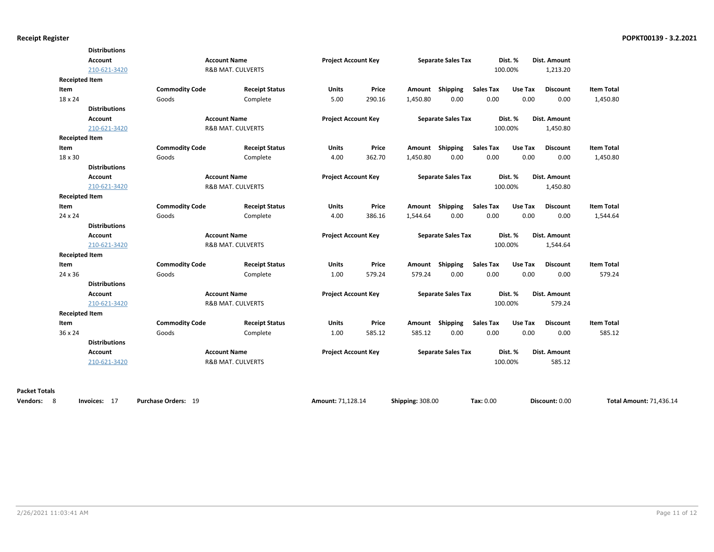| <b>Account</b><br>210-621-3420<br>Goods<br><b>Distributions</b><br><b>Account</b><br>210-621-3420<br>Goods<br><b>Distributions</b><br><b>Account</b><br>210-621-3420 | <b>Commodity Code</b><br><b>Commodity Code</b> | <b>Account Name</b><br><b>R&amp;B MAT. CULVERTS</b><br><b>Receipt Status</b><br>Complete<br><b>Account Name</b><br><b>R&amp;B MAT. CULVERTS</b><br><b>Receipt Status</b><br>Complete<br><b>Account Name</b><br><b>R&amp;B MAT. CULVERTS</b> | <b>Project Account Key</b><br><b>Units</b><br>5.00<br><b>Project Account Key</b><br>Units<br>4.00<br><b>Project Account Key</b>            | Price<br>290.16<br>Price<br>362.70 | Amount<br>1,450.80<br>Amount Shipping<br>1,450.80        | <b>Separate Sales Tax</b><br>Shipping<br>0.00<br><b>Separate Sales Tax</b><br>0.00<br><b>Separate Sales Tax</b> | <b>Sales Tax</b><br>0.00<br><b>Sales Tax</b><br>0.00 | Dist. %<br>100.00%<br>Use Tax<br>0.00<br>Dist. %<br>100.00%<br>Use Tax<br>0.00 | Dist. Amount<br>1,213.20<br><b>Discount</b><br>0.00<br>Dist. Amount<br>1,450.80<br><b>Discount</b><br>0.00 | <b>Item Total</b><br>1,450.80<br><b>Item Total</b><br>1,450.80 |
|----------------------------------------------------------------------------------------------------------------------------------------------------------------------|------------------------------------------------|---------------------------------------------------------------------------------------------------------------------------------------------------------------------------------------------------------------------------------------------|--------------------------------------------------------------------------------------------------------------------------------------------|------------------------------------|----------------------------------------------------------|-----------------------------------------------------------------------------------------------------------------|------------------------------------------------------|--------------------------------------------------------------------------------|------------------------------------------------------------------------------------------------------------|----------------------------------------------------------------|
|                                                                                                                                                                      |                                                |                                                                                                                                                                                                                                             |                                                                                                                                            |                                    |                                                          |                                                                                                                 |                                                      |                                                                                |                                                                                                            |                                                                |
|                                                                                                                                                                      |                                                |                                                                                                                                                                                                                                             |                                                                                                                                            |                                    |                                                          |                                                                                                                 |                                                      |                                                                                |                                                                                                            |                                                                |
|                                                                                                                                                                      |                                                |                                                                                                                                                                                                                                             |                                                                                                                                            |                                    |                                                          |                                                                                                                 |                                                      |                                                                                |                                                                                                            |                                                                |
|                                                                                                                                                                      |                                                |                                                                                                                                                                                                                                             |                                                                                                                                            |                                    |                                                          |                                                                                                                 |                                                      |                                                                                |                                                                                                            |                                                                |
|                                                                                                                                                                      |                                                |                                                                                                                                                                                                                                             |                                                                                                                                            |                                    |                                                          |                                                                                                                 |                                                      |                                                                                |                                                                                                            |                                                                |
|                                                                                                                                                                      |                                                |                                                                                                                                                                                                                                             |                                                                                                                                            |                                    |                                                          |                                                                                                                 |                                                      |                                                                                |                                                                                                            |                                                                |
|                                                                                                                                                                      |                                                |                                                                                                                                                                                                                                             |                                                                                                                                            |                                    |                                                          |                                                                                                                 |                                                      |                                                                                |                                                                                                            |                                                                |
|                                                                                                                                                                      |                                                |                                                                                                                                                                                                                                             |                                                                                                                                            |                                    |                                                          |                                                                                                                 |                                                      |                                                                                |                                                                                                            |                                                                |
|                                                                                                                                                                      |                                                |                                                                                                                                                                                                                                             |                                                                                                                                            |                                    |                                                          |                                                                                                                 |                                                      |                                                                                |                                                                                                            |                                                                |
|                                                                                                                                                                      |                                                |                                                                                                                                                                                                                                             |                                                                                                                                            |                                    |                                                          |                                                                                                                 |                                                      |                                                                                |                                                                                                            |                                                                |
|                                                                                                                                                                      |                                                |                                                                                                                                                                                                                                             |                                                                                                                                            |                                    |                                                          |                                                                                                                 |                                                      |                                                                                |                                                                                                            |                                                                |
|                                                                                                                                                                      |                                                |                                                                                                                                                                                                                                             |                                                                                                                                            |                                    |                                                          |                                                                                                                 |                                                      |                                                                                |                                                                                                            |                                                                |
|                                                                                                                                                                      |                                                |                                                                                                                                                                                                                                             |                                                                                                                                            |                                    |                                                          |                                                                                                                 |                                                      | Dist. %                                                                        | Dist. Amount                                                                                               |                                                                |
|                                                                                                                                                                      |                                                |                                                                                                                                                                                                                                             |                                                                                                                                            |                                    |                                                          |                                                                                                                 |                                                      | 100.00%                                                                        | 1,450.80                                                                                                   |                                                                |
|                                                                                                                                                                      |                                                |                                                                                                                                                                                                                                             |                                                                                                                                            |                                    |                                                          |                                                                                                                 |                                                      |                                                                                |                                                                                                            |                                                                |
|                                                                                                                                                                      | <b>Commodity Code</b>                          | <b>Receipt Status</b>                                                                                                                                                                                                                       | Units                                                                                                                                      | Price                              | Amount                                                   | <b>Shipping</b>                                                                                                 | <b>Sales Tax</b>                                     | Use Tax                                                                        | <b>Discount</b>                                                                                            | <b>Item Total</b>                                              |
| Goods                                                                                                                                                                |                                                | Complete                                                                                                                                                                                                                                    | 4.00                                                                                                                                       | 386.16                             | 1,544.64                                                 | 0.00                                                                                                            | 0.00                                                 | 0.00                                                                           | 0.00                                                                                                       | 1,544.64                                                       |
| <b>Distributions</b>                                                                                                                                                 |                                                |                                                                                                                                                                                                                                             |                                                                                                                                            |                                    |                                                          |                                                                                                                 |                                                      |                                                                                |                                                                                                            |                                                                |
| <b>Account</b>                                                                                                                                                       |                                                | <b>Account Name</b>                                                                                                                                                                                                                         | <b>Project Account Key</b>                                                                                                                 |                                    |                                                          | <b>Separate Sales Tax</b>                                                                                       |                                                      | Dist. %                                                                        | Dist. Amount                                                                                               |                                                                |
| 210-621-3420                                                                                                                                                         |                                                |                                                                                                                                                                                                                                             |                                                                                                                                            |                                    |                                                          |                                                                                                                 |                                                      |                                                                                | 1,544.64                                                                                                   |                                                                |
|                                                                                                                                                                      |                                                |                                                                                                                                                                                                                                             |                                                                                                                                            |                                    |                                                          |                                                                                                                 |                                                      |                                                                                |                                                                                                            |                                                                |
|                                                                                                                                                                      |                                                | <b>Receipt Status</b>                                                                                                                                                                                                                       | <b>Units</b>                                                                                                                               | Price                              | Amount                                                   | Shipping                                                                                                        | <b>Sales Tax</b>                                     | Use Tax                                                                        | <b>Discount</b>                                                                                            | <b>Item Total</b>                                              |
|                                                                                                                                                                      |                                                | Complete                                                                                                                                                                                                                                    | 1.00                                                                                                                                       | 579.24                             | 579.24                                                   | 0.00                                                                                                            | 0.00                                                 | 0.00                                                                           | 0.00                                                                                                       | 579.24                                                         |
| <b>Distributions</b>                                                                                                                                                 |                                                |                                                                                                                                                                                                                                             |                                                                                                                                            |                                    |                                                          |                                                                                                                 |                                                      |                                                                                |                                                                                                            |                                                                |
| <b>Account</b>                                                                                                                                                       |                                                |                                                                                                                                                                                                                                             |                                                                                                                                            |                                    |                                                          |                                                                                                                 |                                                      |                                                                                |                                                                                                            |                                                                |
| 210-621-3420                                                                                                                                                         |                                                |                                                                                                                                                                                                                                             |                                                                                                                                            |                                    |                                                          |                                                                                                                 |                                                      |                                                                                | 579.24                                                                                                     |                                                                |
|                                                                                                                                                                      |                                                |                                                                                                                                                                                                                                             |                                                                                                                                            |                                    |                                                          |                                                                                                                 |                                                      |                                                                                |                                                                                                            |                                                                |
|                                                                                                                                                                      |                                                | <b>Receipt Status</b>                                                                                                                                                                                                                       | Units                                                                                                                                      | Price                              | Amount                                                   | Shipping                                                                                                        | <b>Sales Tax</b>                                     | Use Tax                                                                        | <b>Discount</b>                                                                                            | <b>Item Total</b>                                              |
|                                                                                                                                                                      |                                                | Complete                                                                                                                                                                                                                                    | 1.00                                                                                                                                       | 585.12                             | 585.12                                                   | 0.00                                                                                                            | 0.00                                                 | 0.00                                                                           | 0.00                                                                                                       | 585.12                                                         |
| <b>Distributions</b>                                                                                                                                                 |                                                |                                                                                                                                                                                                                                             |                                                                                                                                            |                                    |                                                          |                                                                                                                 |                                                      |                                                                                |                                                                                                            |                                                                |
| <b>Account</b>                                                                                                                                                       |                                                |                                                                                                                                                                                                                                             |                                                                                                                                            |                                    |                                                          |                                                                                                                 |                                                      |                                                                                |                                                                                                            |                                                                |
| 210-621-3420                                                                                                                                                         |                                                |                                                                                                                                                                                                                                             |                                                                                                                                            |                                    |                                                          |                                                                                                                 |                                                      |                                                                                | 585.12                                                                                                     |                                                                |
|                                                                                                                                                                      |                                                | <b>Commodity Code</b><br>Goods<br><b>Commodity Code</b><br>Goods                                                                                                                                                                            | <b>R&amp;B MAT. CULVERTS</b><br><b>Account Name</b><br><b>R&amp;B MAT. CULVERTS</b><br><b>Account Name</b><br><b>R&amp;B MAT. CULVERTS</b> |                                    | <b>Project Account Key</b><br><b>Project Account Key</b> |                                                                                                                 |                                                      | <b>Separate Sales Tax</b><br><b>Separate Sales Tax</b>                         | 100.00%<br>Dist. %<br>100.00%<br>Dist. %<br>100.00%                                                        | Dist. Amount<br>Dist. Amount                                   |

**Packet Totals**

**Vendors:** 8 **Invoices:** 17 **Purchase Orders:** 19 **Amount:** 71,128.14 **Shipping:** 308.00 **Tax:** 0.00 **Total Amount:** 71,436.14

**Discount:** 0.00